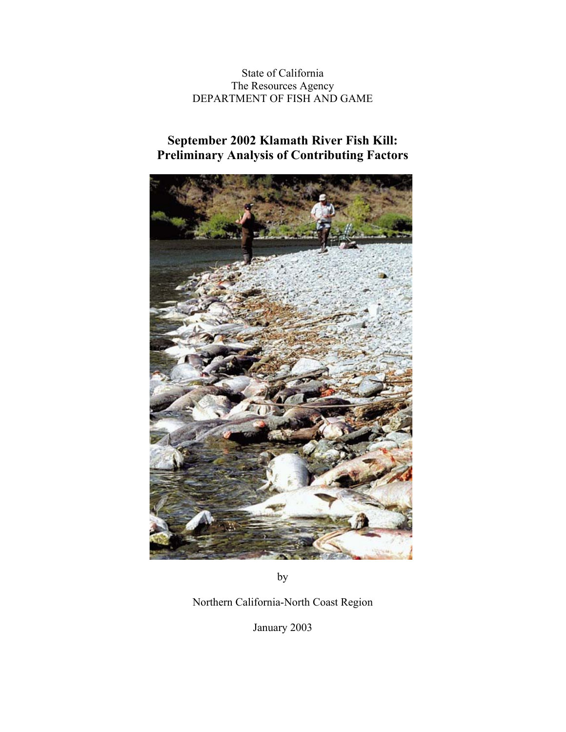State of California The Resources Agency DEPARTMENT OF FISH AND GAME

# **September 2002 Klamath River Fish Kill: Preliminary Analysis of Contributing Factors**



by

Northern California-North Coast Region

January 2003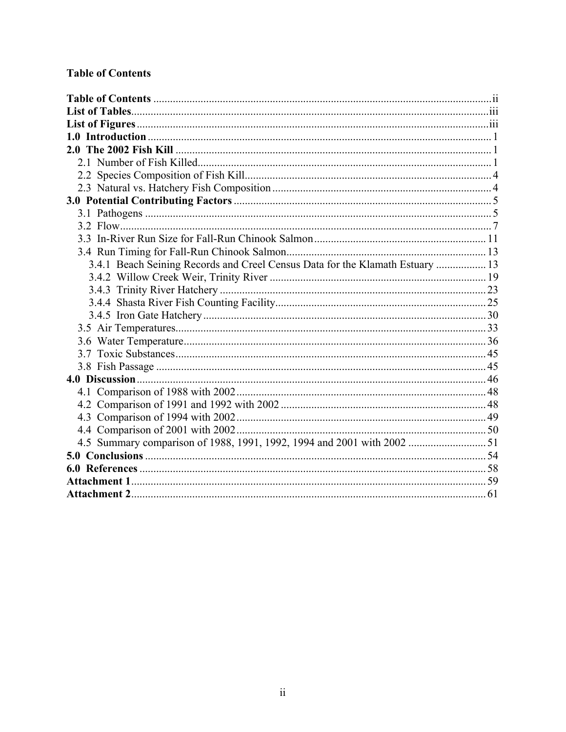# **Table of Contents**

| 3.4.1 Beach Seining Records and Creel Census Data for the Klamath Estuary  13 |  |
|-------------------------------------------------------------------------------|--|
|                                                                               |  |
|                                                                               |  |
|                                                                               |  |
|                                                                               |  |
|                                                                               |  |
|                                                                               |  |
|                                                                               |  |
|                                                                               |  |
|                                                                               |  |
|                                                                               |  |
|                                                                               |  |
|                                                                               |  |
|                                                                               |  |
|                                                                               |  |
|                                                                               |  |
|                                                                               |  |
|                                                                               |  |
|                                                                               |  |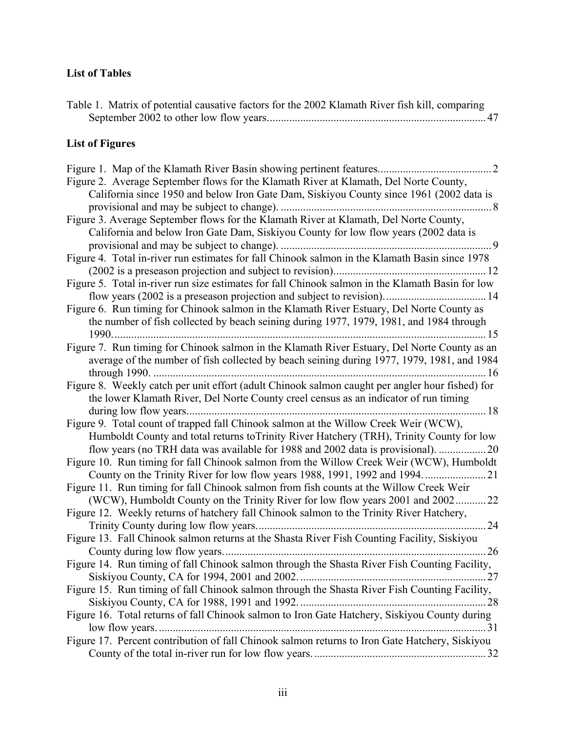## **List of Tables**

| Table 1. Matrix of potential causative factors for the 2002 Klamath River fish kill, comparing |  |
|------------------------------------------------------------------------------------------------|--|
| <b>List of Figures</b>                                                                         |  |
| Figure 2. Average September flows for the Klamath River at Klamath, Del Norte County,          |  |
| Colifornia gingo 1050 and below Iron Gata Dam, Sigliway County gingo 1061 (2002 data is        |  |

| California since 1950 and below Iron Gate Dam, Siskiyou County since 1961 (2002 data is          |
|--------------------------------------------------------------------------------------------------|
| . 8                                                                                              |
| Figure 3. Average September flows for the Klamath River at Klamath, Del Norte County,            |
| California and below Iron Gate Dam, Siskiyou County for low flow years (2002 data is             |
| 9                                                                                                |
| Figure 4. Total in-river run estimates for fall Chinook salmon in the Klamath Basin since 1978   |
|                                                                                                  |
| Figure 5. Total in-river run size estimates for fall Chinook salmon in the Klamath Basin for low |
|                                                                                                  |
| Figure 6. Run timing for Chinook salmon in the Klamath River Estuary, Del Norte County as        |
| the number of fish collected by beach seining during 1977, 1979, 1981, and 1984 through          |
|                                                                                                  |
| Figure 7. Run timing for Chinook salmon in the Klamath River Estuary, Del Norte County as an     |
| average of the number of fish collected by beach seining during 1977, 1979, 1981, and 1984       |
| 16                                                                                               |
| Figure 8. Weekly catch per unit effort (adult Chinook salmon caught per angler hour fished) for  |
| the lower Klamath River, Del Norte County creel census as an indicator of run timing             |
| during low flow years.<br>18                                                                     |
| Figure 9. Total count of trapped fall Chinook salmon at the Willow Creek Weir (WCW),             |
| Humboldt County and total returns to Trinity River Hatchery (TRH), Trinity County for low        |
| flow years (no TRH data was available for 1988 and 2002 data is provisional).<br>20              |

Figure 10. Run timing for fall Chinook salmon from the Willow Creek Weir (WCW), Humboldt County on the Trinity River for low flow years 1988, 1991, 1992 and 1994.......................21 Figure 11. Run timing for fall Chinook salmon from fish counts at the Willow Creek Weir (WCW), Humboldt County on the Trinity River for low flow years 2001 and 2002...........22 Figure 12. Weekly returns of hatchery fall Chinook salmon to the Trinity River Hatchery,<br>Trinity County during low flow years

| Figure 13. Fall Chinook salmon returns at the Shasta River Fish Counting Facility, Siskiyou    |
|------------------------------------------------------------------------------------------------|
|                                                                                                |
| Figure 14. Run timing of fall Chinook salmon through the Shasta River Fish Counting Facility,  |
|                                                                                                |
| Figure 15. Run timing of fall Chinook salmon through the Shasta River Fish Counting Facility,  |
|                                                                                                |
| Figure 16. Total returns of fall Chinook salmon to Iron Gate Hatchery, Siskiyou County during  |
|                                                                                                |
| Figure 17. Percent contribution of fall Chinook salmon returns to Iron Gate Hatchery, Siskiyou |
|                                                                                                |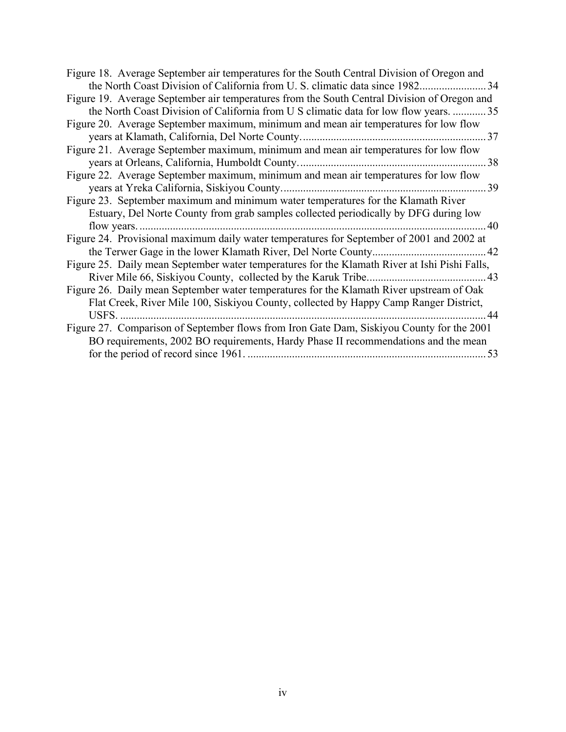| Figure 18. Average September air temperatures for the South Central Division of Oregon and    |
|-----------------------------------------------------------------------------------------------|
|                                                                                               |
| Figure 19. Average September air temperatures from the South Central Division of Oregon and   |
| the North Coast Division of California from U S climatic data for low flow years.  35         |
| Figure 20. Average September maximum, minimum and mean air temperatures for low flow          |
|                                                                                               |
| Figure 21. Average September maximum, minimum and mean air temperatures for low flow          |
|                                                                                               |
| Figure 22. Average September maximum, minimum and mean air temperatures for low flow          |
|                                                                                               |
| Figure 23. September maximum and minimum water temperatures for the Klamath River             |
| Estuary, Del Norte County from grab samples collected periodically by DFG during low          |
| - 40                                                                                          |
| Figure 24. Provisional maximum daily water temperatures for September of 2001 and 2002 at     |
|                                                                                               |
| Figure 25. Daily mean September water temperatures for the Klamath River at Ishi Pishi Falls, |
|                                                                                               |
| Figure 26. Daily mean September water temperatures for the Klamath River upstream of Oak      |
| Flat Creek, River Mile 100, Siskiyou County, collected by Happy Camp Ranger District,         |
| 44                                                                                            |
| Figure 27. Comparison of September flows from Iron Gate Dam, Siskiyou County for the 2001     |
| BO requirements, 2002 BO requirements, Hardy Phase II recommendations and the mean            |
|                                                                                               |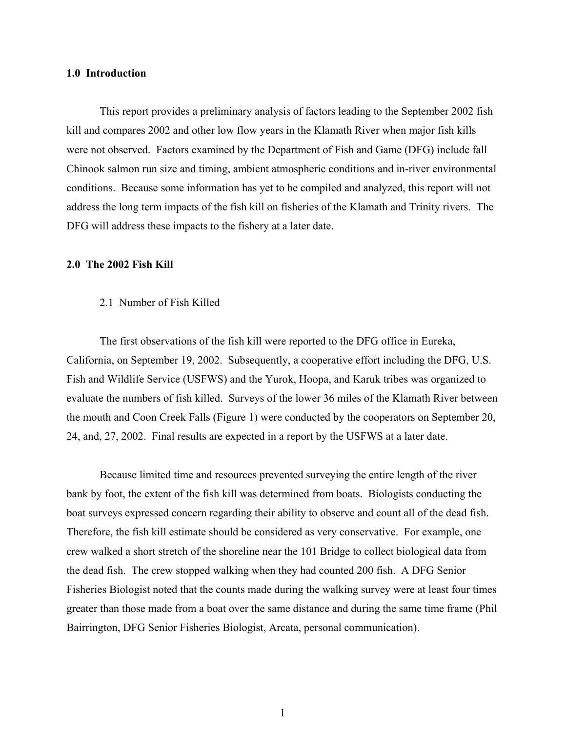## **1.0 Introduction**

 This report provides a preliminary analysis of factors leading to the September 2002 fish kill and compares 2002 and other low flow years in the Klamath River when major fish kills were not observed. Factors examined by the Department of Fish and Game (DFG) include fall Chinook salmon run size and timing, ambient atmospheric conditions and in-river environmental conditions. Because some information has yet to be compiled and analyzed, this report will not address the long term impacts of the fish kill on fisheries of the Klamath and Trinity rivers. The DFG will address these impacts to the fishery at a later date.

## **2.0 The 2002 Fish Kill**

### 2.1 Number of Fish Killed

The first observations of the fish kill were reported to the DFG office in Eureka, California, on September 19, 2002. Subsequently, a cooperative effort including the DFG, U.S. Fish and Wildlife Service (USFWS) and the Yurok, Hoopa, and Karuk tribes was organized to evaluate the numbers of fish killed. Surveys of the lower 36 miles of the Klamath River between the mouth and Coon Creek Falls (Figure 1) were conducted by the cooperators on September 20, 24, and, 27, 2002. Final results are expected in a report by the USFWS at a later date.

 Because limited time and resources prevented surveying the entire length of the river bank by foot, the extent of the fish kill was determined from boats. Biologists conducting the boat surveys expressed concern regarding their ability to observe and count all of the dead fish. Therefore, the fish kill estimate should be considered as very conservative. For example, one crew walked a short stretch of the shoreline near the 101 Bridge to collect biological data from the dead fish. The crew stopped walking when they had counted 200 fish. A DFG Senior Fisheries Biologist noted that the counts made during the walking survey were at least four times greater than those made from a boat over the same distance and during the same time frame (Phil Bairrington, DFG Senior Fisheries Biologist, Arcata, personal communication).

1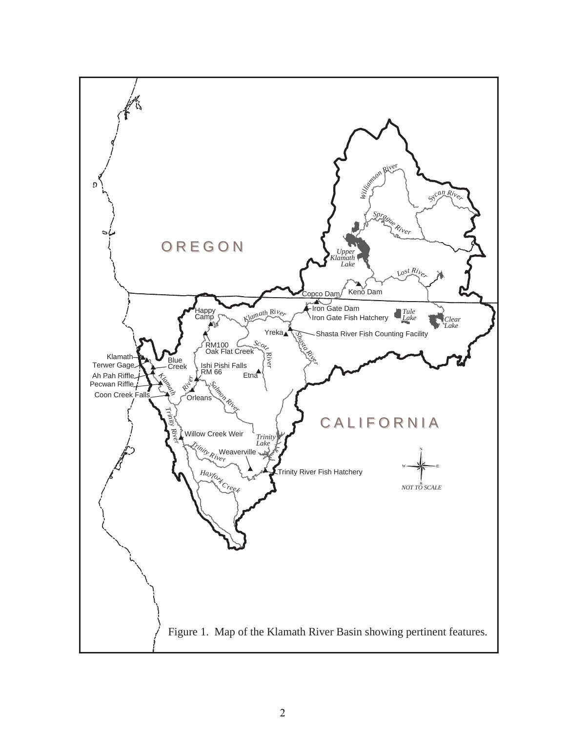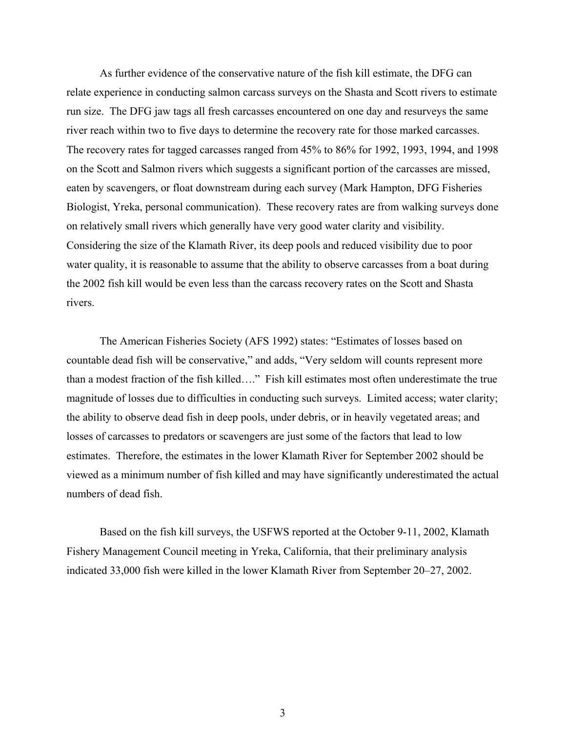As further evidence of the conservative nature of the fish kill estimate, the DFG can relate experience in conducting salmon carcass surveys on the Shasta and Scott rivers to estimate run size. The DFG jaw tags all fresh carcasses encountered on one day and resurveys the same river reach within two to five days to determine the recovery rate for those marked carcasses. The recovery rates for tagged carcasses ranged from 45% to 86% for 1992, 1993, 1994, and 1998 on the Scott and Salmon rivers which suggests a significant portion of the carcasses are missed, eaten by scavengers, or float downstream during each survey (Mark Hampton, DFG Fisheries Biologist, Yreka, personal communication). These recovery rates are from walking surveys done on relatively small rivers which generally have very good water clarity and visibility. Considering the size of the Klamath River, its deep pools and reduced visibility due to poor water quality, it is reasonable to assume that the ability to observe carcasses from a boat during the 2002 fish kill would be even less than the carcass recovery rates on the Scott and Shasta rivers.

 The American Fisheries Society (AFS 1992) states: "Estimates of losses based on countable dead fish will be conservative," and adds, "Very seldom will counts represent more than a modest fraction of the fish killed…." Fish kill estimates most often underestimate the true magnitude of losses due to difficulties in conducting such surveys. Limited access; water clarity; the ability to observe dead fish in deep pools, under debris, or in heavily vegetated areas; and losses of carcasses to predators or scavengers are just some of the factors that lead to low estimates. Therefore, the estimates in the lower Klamath River for September 2002 should be viewed as a minimum number of fish killed and may have significantly underestimated the actual numbers of dead fish.

 Based on the fish kill surveys, the USFWS reported at the October 9-11, 2002, Klamath Fishery Management Council meeting in Yreka, California, that their preliminary analysis indicated 33,000 fish were killed in the lower Klamath River from September 20–27, 2002.

3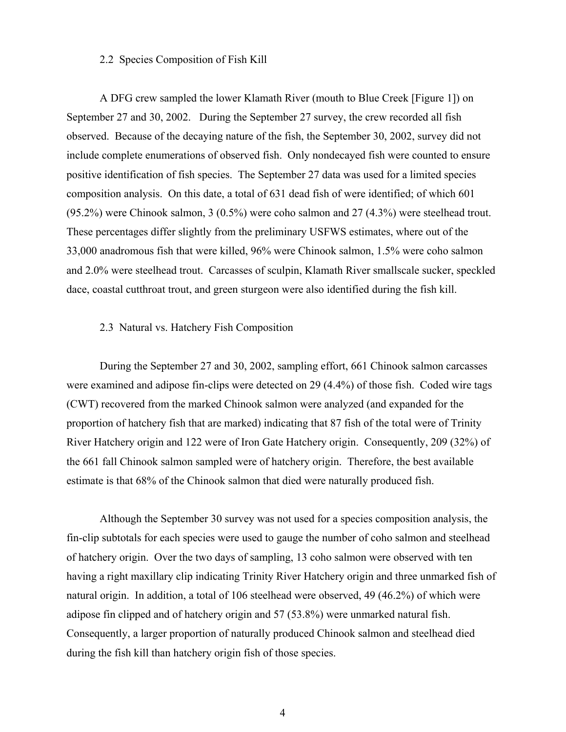## 2.2 Species Composition of Fish Kill

 A DFG crew sampled the lower Klamath River (mouth to Blue Creek [Figure 1]) on September 27 and 30, 2002. During the September 27 survey, the crew recorded all fish observed. Because of the decaying nature of the fish, the September 30, 2002, survey did not include complete enumerations of observed fish. Only nondecayed fish were counted to ensure positive identification of fish species. The September 27 data was used for a limited species composition analysis. On this date, a total of 631 dead fish of were identified; of which 601 (95.2%) were Chinook salmon, 3 (0.5%) were coho salmon and 27 (4.3%) were steelhead trout. These percentages differ slightly from the preliminary USFWS estimates, where out of the 33,000 anadromous fish that were killed, 96% were Chinook salmon, 1.5% were coho salmon and 2.0% were steelhead trout. Carcasses of sculpin, Klamath River smallscale sucker, speckled dace, coastal cutthroat trout, and green sturgeon were also identified during the fish kill.

## 2.3 Natural vs. Hatchery Fish Composition

During the September 27 and 30, 2002, sampling effort, 661 Chinook salmon carcasses were examined and adipose fin-clips were detected on 29 (4.4%) of those fish. Coded wire tags (CWT) recovered from the marked Chinook salmon were analyzed (and expanded for the proportion of hatchery fish that are marked) indicating that 87 fish of the total were of Trinity River Hatchery origin and 122 were of Iron Gate Hatchery origin. Consequently, 209 (32%) of the 661 fall Chinook salmon sampled were of hatchery origin. Therefore, the best available estimate is that 68% of the Chinook salmon that died were naturally produced fish.

 Although the September 30 survey was not used for a species composition analysis, the fin-clip subtotals for each species were used to gauge the number of coho salmon and steelhead of hatchery origin. Over the two days of sampling, 13 coho salmon were observed with ten having a right maxillary clip indicating Trinity River Hatchery origin and three unmarked fish of natural origin. In addition, a total of 106 steelhead were observed, 49 (46.2%) of which were adipose fin clipped and of hatchery origin and 57 (53.8%) were unmarked natural fish. Consequently, a larger proportion of naturally produced Chinook salmon and steelhead died during the fish kill than hatchery origin fish of those species.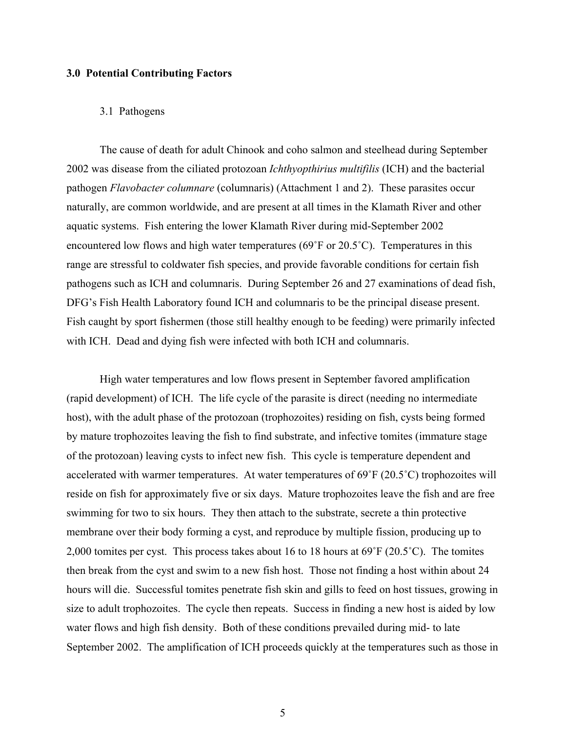## **3.0 Potential Contributing Factors**

## 3.1 Pathogens

 The cause of death for adult Chinook and coho salmon and steelhead during September 2002 was disease from the ciliated protozoan *Ichthyopthirius multifilis* (ICH) and the bacterial pathogen *Flavobacter columnare* (columnaris) (Attachment 1 and 2). These parasites occur naturally, are common worldwide, and are present at all times in the Klamath River and other aquatic systems. Fish entering the lower Klamath River during mid-September 2002 encountered low flows and high water temperatures (69˚F or 20.5˚C). Temperatures in this range are stressful to coldwater fish species, and provide favorable conditions for certain fish pathogens such as ICH and columnaris. During September 26 and 27 examinations of dead fish, DFG's Fish Health Laboratory found ICH and columnaris to be the principal disease present. Fish caught by sport fishermen (those still healthy enough to be feeding) were primarily infected with ICH. Dead and dying fish were infected with both ICH and columnaris.

 High water temperatures and low flows present in September favored amplification (rapid development) of ICH. The life cycle of the parasite is direct (needing no intermediate host), with the adult phase of the protozoan (trophozoites) residing on fish, cysts being formed by mature trophozoites leaving the fish to find substrate, and infective tomites (immature stage of the protozoan) leaving cysts to infect new fish. This cycle is temperature dependent and accelerated with warmer temperatures. At water temperatures of 69˚F (20.5˚C) trophozoites will reside on fish for approximately five or six days. Mature trophozoites leave the fish and are free swimming for two to six hours. They then attach to the substrate, secrete a thin protective membrane over their body forming a cyst, and reproduce by multiple fission, producing up to 2,000 tomites per cyst. This process takes about 16 to 18 hours at 69˚F (20.5˚C). The tomites then break from the cyst and swim to a new fish host. Those not finding a host within about 24 hours will die. Successful tomites penetrate fish skin and gills to feed on host tissues, growing in size to adult trophozoites. The cycle then repeats. Success in finding a new host is aided by low water flows and high fish density. Both of these conditions prevailed during mid- to late September 2002. The amplification of ICH proceeds quickly at the temperatures such as those in

5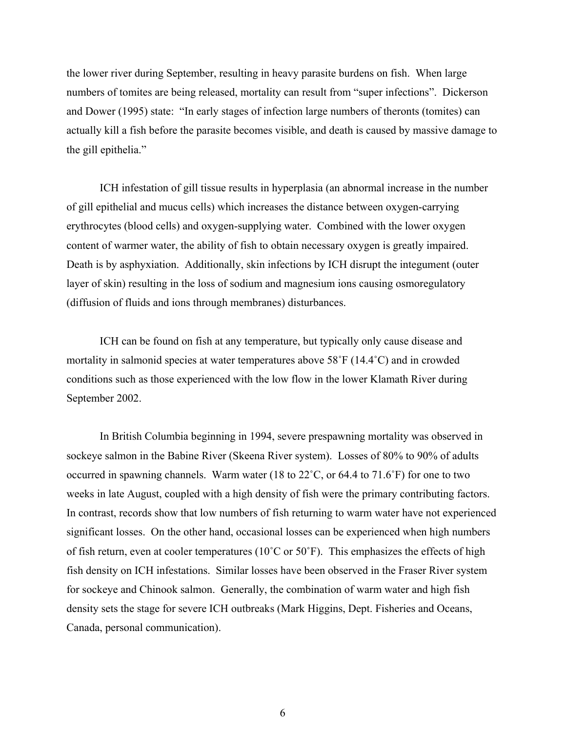the lower river during September, resulting in heavy parasite burdens on fish. When large numbers of tomites are being released, mortality can result from "super infections". Dickerson and Dower (1995) state: "In early stages of infection large numbers of theronts (tomites) can actually kill a fish before the parasite becomes visible, and death is caused by massive damage to the gill epithelia."

 ICH infestation of gill tissue results in hyperplasia (an abnormal increase in the number of gill epithelial and mucus cells) which increases the distance between oxygen-carrying erythrocytes (blood cells) and oxygen-supplying water. Combined with the lower oxygen content of warmer water, the ability of fish to obtain necessary oxygen is greatly impaired. Death is by asphyxiation. Additionally, skin infections by ICH disrupt the integument (outer layer of skin) resulting in the loss of sodium and magnesium ions causing osmoregulatory (diffusion of fluids and ions through membranes) disturbances.

 ICH can be found on fish at any temperature, but typically only cause disease and mortality in salmonid species at water temperatures above 58˚F (14.4˚C) and in crowded conditions such as those experienced with the low flow in the lower Klamath River during September 2002.

 In British Columbia beginning in 1994, severe prespawning mortality was observed in sockeye salmon in the Babine River (Skeena River system). Losses of 80% to 90% of adults occurred in spawning channels. Warm water (18 to 22˚C, or 64.4 to 71.6˚F) for one to two weeks in late August, coupled with a high density of fish were the primary contributing factors. In contrast, records show that low numbers of fish returning to warm water have not experienced significant losses. On the other hand, occasional losses can be experienced when high numbers of fish return, even at cooler temperatures ( $10^{\circ}$ C or  $50^{\circ}$ F). This emphasizes the effects of high fish density on ICH infestations. Similar losses have been observed in the Fraser River system for sockeye and Chinook salmon. Generally, the combination of warm water and high fish density sets the stage for severe ICH outbreaks (Mark Higgins, Dept. Fisheries and Oceans, Canada, personal communication).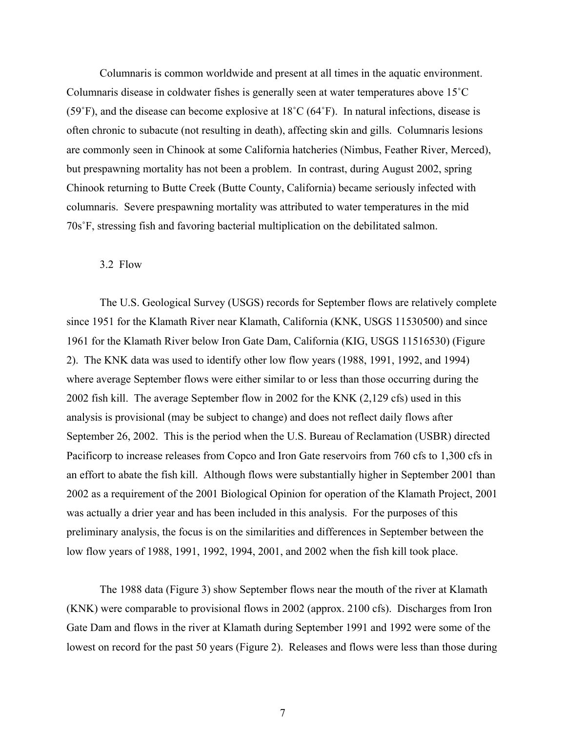Columnaris is common worldwide and present at all times in the aquatic environment. Columnaris disease in coldwater fishes is generally seen at water temperatures above 15˚C (59˚F), and the disease can become explosive at 18˚C (64˚F). In natural infections, disease is often chronic to subacute (not resulting in death), affecting skin and gills. Columnaris lesions are commonly seen in Chinook at some California hatcheries (Nimbus, Feather River, Merced), but prespawning mortality has not been a problem. In contrast, during August 2002, spring Chinook returning to Butte Creek (Butte County, California) became seriously infected with columnaris. Severe prespawning mortality was attributed to water temperatures in the mid 70s˚F, stressing fish and favoring bacterial multiplication on the debilitated salmon.

## 3.2 Flow

 The U.S. Geological Survey (USGS) records for September flows are relatively complete since 1951 for the Klamath River near Klamath, California (KNK, USGS 11530500) and since 1961 for the Klamath River below Iron Gate Dam, California (KIG, USGS 11516530) (Figure 2). The KNK data was used to identify other low flow years (1988, 1991, 1992, and 1994) where average September flows were either similar to or less than those occurring during the 2002 fish kill. The average September flow in 2002 for the KNK (2,129 cfs) used in this analysis is provisional (may be subject to change) and does not reflect daily flows after September 26, 2002. This is the period when the U.S. Bureau of Reclamation (USBR) directed Pacificorp to increase releases from Copco and Iron Gate reservoirs from 760 cfs to 1,300 cfs in an effort to abate the fish kill. Although flows were substantially higher in September 2001 than 2002 as a requirement of the 2001 Biological Opinion for operation of the Klamath Project, 2001 was actually a drier year and has been included in this analysis. For the purposes of this preliminary analysis, the focus is on the similarities and differences in September between the low flow years of 1988, 1991, 1992, 1994, 2001, and 2002 when the fish kill took place.

 The 1988 data (Figure 3) show September flows near the mouth of the river at Klamath (KNK) were comparable to provisional flows in 2002 (approx. 2100 cfs). Discharges from Iron Gate Dam and flows in the river at Klamath during September 1991 and 1992 were some of the lowest on record for the past 50 years (Figure 2). Releases and flows were less than those during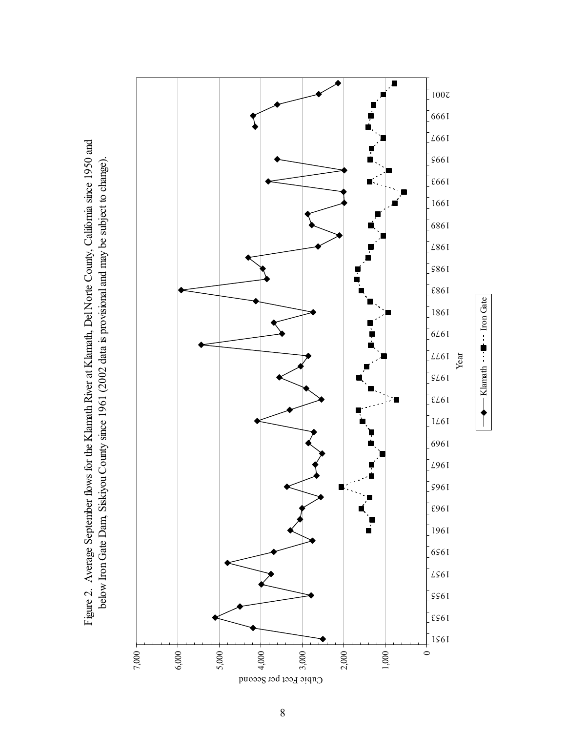Figure 2. Average September flows for the Klamath River at Klamath, Del Norte County, California since 1950 and Figure 2. Average September flows for the Klamath River at Klamath, Del Norte County, California since 1950 and below Iron Gate Dam, Siskiyou County since 1961 (2002 data is provisional and may be subject to change). below Iron Gate Dam, Siskiyou County since 1961 (2002 data is provisional and may be subject to change).

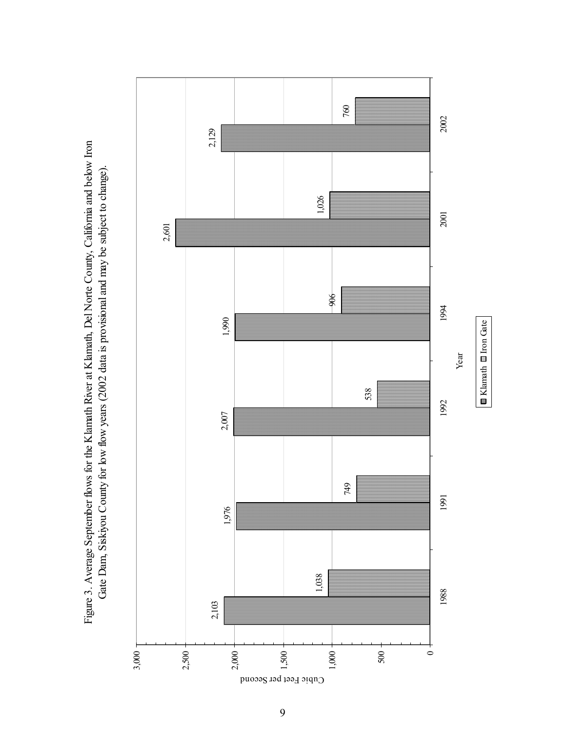Figure 3. Average September flows for the Klamath River at Klamath, Del Norte County, California and below Iron Figure 3. Average September flows for the Klamath River at Klamath, Del Norte County, California and below Iron Gate Dam, Siskiyou County for low flow years (2002 data is provisional and may be subject to change). Gate Dam, Siskiyou County for low flow years (2002 data is provisional and may be subject to change).

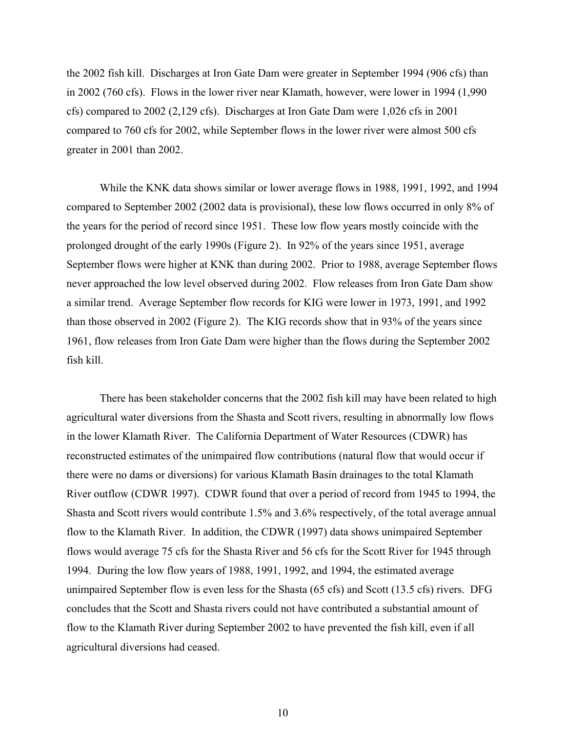the 2002 fish kill. Discharges at Iron Gate Dam were greater in September 1994 (906 cfs) than in 2002 (760 cfs). Flows in the lower river near Klamath, however, were lower in 1994 (1,990 cfs) compared to 2002 (2,129 cfs). Discharges at Iron Gate Dam were 1,026 cfs in 2001 compared to 760 cfs for 2002, while September flows in the lower river were almost 500 cfs greater in 2001 than 2002.

 While the KNK data shows similar or lower average flows in 1988, 1991, 1992, and 1994 compared to September 2002 (2002 data is provisional), these low flows occurred in only 8% of the years for the period of record since 1951. These low flow years mostly coincide with the prolonged drought of the early 1990s (Figure 2). In 92% of the years since 1951, average September flows were higher at KNK than during 2002. Prior to 1988, average September flows never approached the low level observed during 2002. Flow releases from Iron Gate Dam show a similar trend. Average September flow records for KIG were lower in 1973, 1991, and 1992 than those observed in 2002 (Figure 2). The KIG records show that in 93% of the years since 1961, flow releases from Iron Gate Dam were higher than the flows during the September 2002 fish kill.

 There has been stakeholder concerns that the 2002 fish kill may have been related to high agricultural water diversions from the Shasta and Scott rivers, resulting in abnormally low flows in the lower Klamath River. The California Department of Water Resources (CDWR) has reconstructed estimates of the unimpaired flow contributions (natural flow that would occur if there were no dams or diversions) for various Klamath Basin drainages to the total Klamath River outflow (CDWR 1997). CDWR found that over a period of record from 1945 to 1994, the Shasta and Scott rivers would contribute 1.5% and 3.6% respectively, of the total average annual flow to the Klamath River. In addition, the CDWR (1997) data shows unimpaired September flows would average 75 cfs for the Shasta River and 56 cfs for the Scott River for 1945 through 1994. During the low flow years of 1988, 1991, 1992, and 1994, the estimated average unimpaired September flow is even less for the Shasta (65 cfs) and Scott (13.5 cfs) rivers. DFG concludes that the Scott and Shasta rivers could not have contributed a substantial amount of flow to the Klamath River during September 2002 to have prevented the fish kill, even if all agricultural diversions had ceased.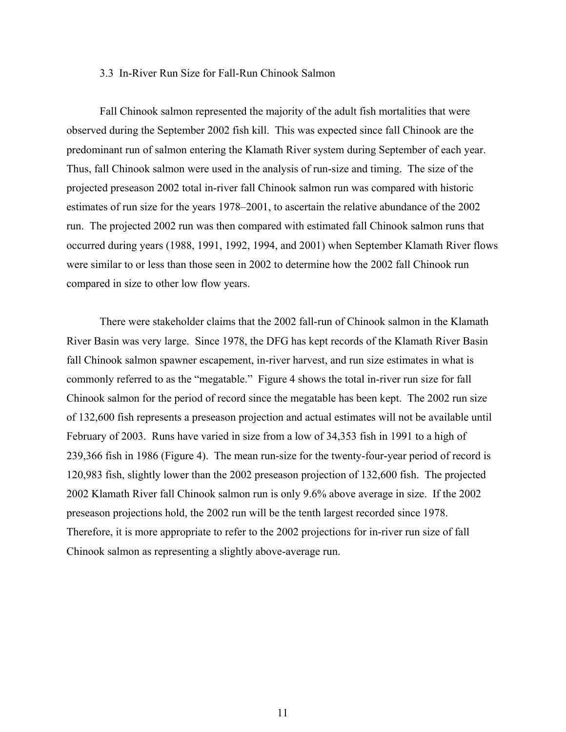## 3.3 In-River Run Size for Fall-Run Chinook Salmon

 Fall Chinook salmon represented the majority of the adult fish mortalities that were observed during the September 2002 fish kill. This was expected since fall Chinook are the predominant run of salmon entering the Klamath River system during September of each year. Thus, fall Chinook salmon were used in the analysis of run-size and timing. The size of the projected preseason 2002 total in-river fall Chinook salmon run was compared with historic estimates of run size for the years 1978–2001, to ascertain the relative abundance of the 2002 run. The projected 2002 run was then compared with estimated fall Chinook salmon runs that occurred during years (1988, 1991, 1992, 1994, and 2001) when September Klamath River flows were similar to or less than those seen in 2002 to determine how the 2002 fall Chinook run compared in size to other low flow years.

 There were stakeholder claims that the 2002 fall-run of Chinook salmon in the Klamath River Basin was very large. Since 1978, the DFG has kept records of the Klamath River Basin fall Chinook salmon spawner escapement, in-river harvest, and run size estimates in what is commonly referred to as the "megatable." Figure 4 shows the total in-river run size for fall Chinook salmon for the period of record since the megatable has been kept. The 2002 run size of 132,600 fish represents a preseason projection and actual estimates will not be available until February of 2003. Runs have varied in size from a low of 34,353 fish in 1991 to a high of 239,366 fish in 1986 (Figure 4). The mean run-size for the twenty-four-year period of record is 120,983 fish, slightly lower than the 2002 preseason projection of 132,600 fish. The projected 2002 Klamath River fall Chinook salmon run is only 9.6% above average in size. If the 2002 preseason projections hold, the 2002 run will be the tenth largest recorded since 1978. Therefore, it is more appropriate to refer to the 2002 projections for in-river run size of fall Chinook salmon as representing a slightly above-average run.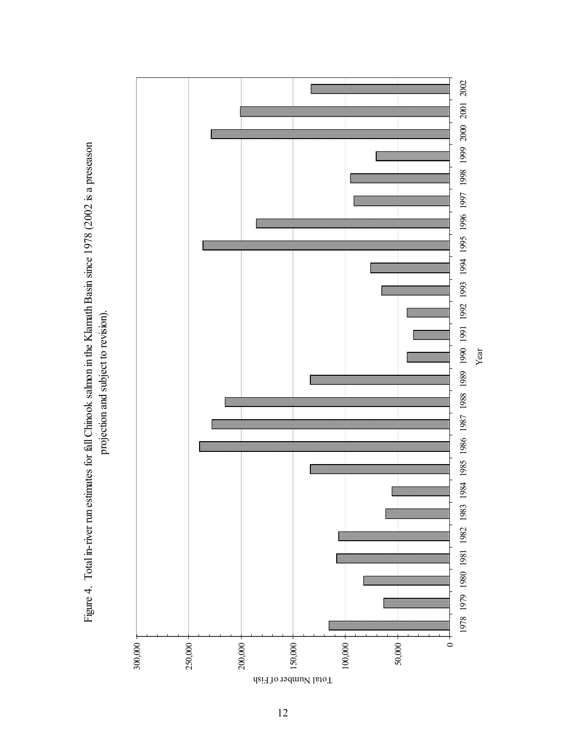Figure 4. Total in-river run estimates for fall Chinook salmon in the Klamath Basin since 1978 (2002 is a preseason Figure 4. Total in-river run estimates for fall Chinook salmon in the Klamath Basin since 1978 (2002 is a preseason projection and subject to revision). projection and subject to revision).



Year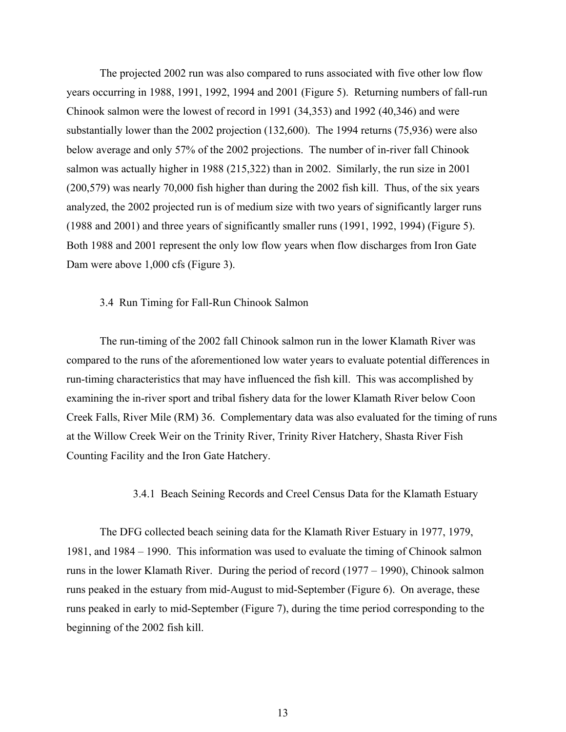The projected 2002 run was also compared to runs associated with five other low flow years occurring in 1988, 1991, 1992, 1994 and 2001 (Figure 5). Returning numbers of fall-run Chinook salmon were the lowest of record in 1991 (34,353) and 1992 (40,346) and were substantially lower than the 2002 projection (132,600). The 1994 returns (75,936) were also below average and only 57% of the 2002 projections. The number of in-river fall Chinook salmon was actually higher in 1988 (215,322) than in 2002. Similarly, the run size in 2001 (200,579) was nearly 70,000 fish higher than during the 2002 fish kill. Thus, of the six years analyzed, the 2002 projected run is of medium size with two years of significantly larger runs (1988 and 2001) and three years of significantly smaller runs (1991, 1992, 1994) (Figure 5). Both 1988 and 2001 represent the only low flow years when flow discharges from Iron Gate Dam were above 1,000 cfs (Figure 3).

## 3.4 Run Timing for Fall-Run Chinook Salmon

 The run-timing of the 2002 fall Chinook salmon run in the lower Klamath River was compared to the runs of the aforementioned low water years to evaluate potential differences in run-timing characteristics that may have influenced the fish kill. This was accomplished by examining the in-river sport and tribal fishery data for the lower Klamath River below Coon Creek Falls, River Mile (RM) 36. Complementary data was also evaluated for the timing of runs at the Willow Creek Weir on the Trinity River, Trinity River Hatchery, Shasta River Fish Counting Facility and the Iron Gate Hatchery.

## 3.4.1 Beach Seining Records and Creel Census Data for the Klamath Estuary

 The DFG collected beach seining data for the Klamath River Estuary in 1977, 1979, 1981, and 1984 – 1990. This information was used to evaluate the timing of Chinook salmon runs in the lower Klamath River. During the period of record (1977 – 1990), Chinook salmon runs peaked in the estuary from mid-August to mid-September (Figure 6). On average, these runs peaked in early to mid-September (Figure 7), during the time period corresponding to the beginning of the 2002 fish kill.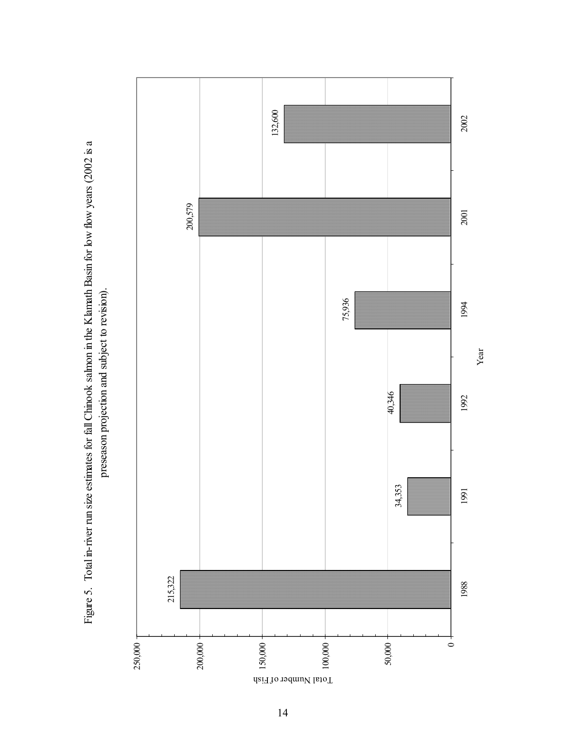Figure 5. Total in-river run size estimates for fall Chinook salmon in the Klamath Basin for low flow years (2002 is a Figure 5. Total in-river run size estimates for fall Chinook salmon in the Klamath Basin for low flow years (2002 is a preseason projection and subject to revision). preseason projection and subject to revision).

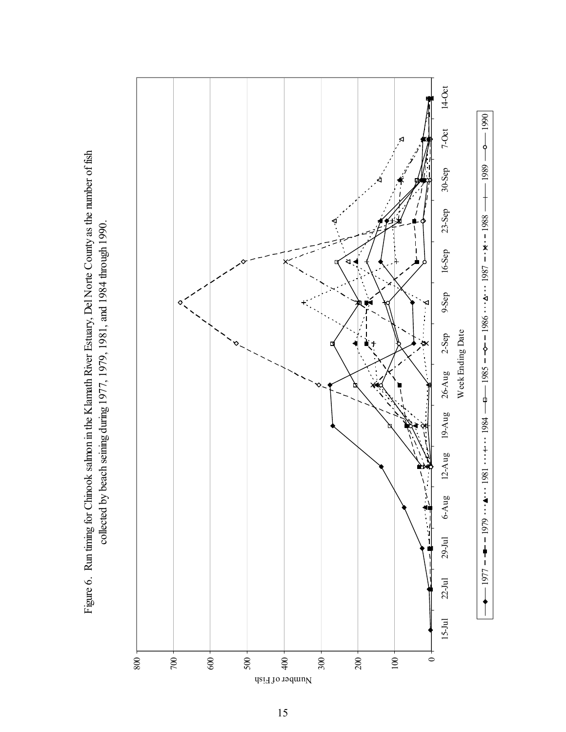Figure 6. Run timing for Chinook salmon in the Klamath River Estuary, Del Norte County as the number of fish Figure 6. Run timing for Chinook salmon in the Klamath River Estuary, Del Norte County as the number of fish collected by beach seining during 1977, 1979, 1981, and 1984 through 1990. collected by beach seining during 1977, 1979, 1981, and 1984 through 1990.

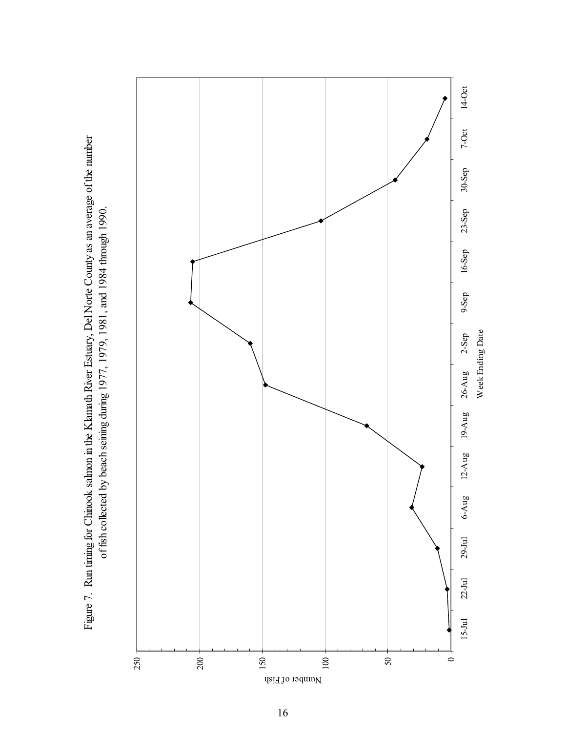$\circ$ 50 250 200 150 100 Number of Fish

15-Jul 22-Jul 20-Sep 30-Sep 20-Sep 20-Sep 20-Sep 20-Aug 26-Aug 20-Sep 2-Aug 20-Sep 23-Sep 23-Sep 30-Sep 30-Sep Week Ending Date

26-Aug

 $19-Aug$ 

 $12-Aug$ 

6-Aug

 $29-$ Jul

 $22 - Jul$ 

 $15-Jul$ 

Week Ending Date

 $2-Sep$ 

 $14-Oct$ 

 $7-0ct$ 

 $30-$ Sep

 $23-$ Sep

 $16-$ Sep

9-Sep

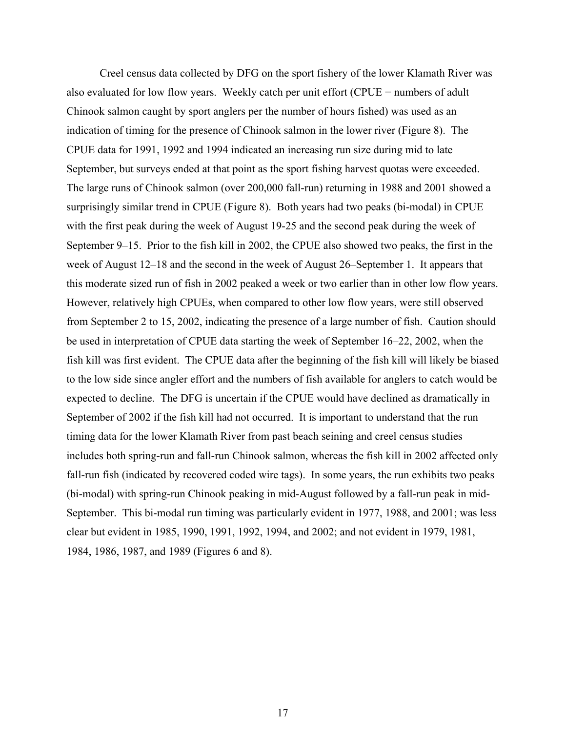Creel census data collected by DFG on the sport fishery of the lower Klamath River was also evaluated for low flow years. Weekly catch per unit effort (CPUE = numbers of adult Chinook salmon caught by sport anglers per the number of hours fished) was used as an indication of timing for the presence of Chinook salmon in the lower river (Figure 8). The CPUE data for 1991, 1992 and 1994 indicated an increasing run size during mid to late September, but surveys ended at that point as the sport fishing harvest quotas were exceeded. The large runs of Chinook salmon (over 200,000 fall-run) returning in 1988 and 2001 showed a surprisingly similar trend in CPUE (Figure 8). Both years had two peaks (bi-modal) in CPUE with the first peak during the week of August 19-25 and the second peak during the week of September 9–15. Prior to the fish kill in 2002, the CPUE also showed two peaks, the first in the week of August 12–18 and the second in the week of August 26–September 1. It appears that this moderate sized run of fish in 2002 peaked a week or two earlier than in other low flow years. However, relatively high CPUEs, when compared to other low flow years, were still observed from September 2 to 15, 2002, indicating the presence of a large number of fish. Caution should be used in interpretation of CPUE data starting the week of September 16–22, 2002, when the fish kill was first evident. The CPUE data after the beginning of the fish kill will likely be biased to the low side since angler effort and the numbers of fish available for anglers to catch would be expected to decline. The DFG is uncertain if the CPUE would have declined as dramatically in September of 2002 if the fish kill had not occurred. It is important to understand that the run timing data for the lower Klamath River from past beach seining and creel census studies includes both spring-run and fall-run Chinook salmon, whereas the fish kill in 2002 affected only fall-run fish (indicated by recovered coded wire tags). In some years, the run exhibits two peaks (bi-modal) with spring-run Chinook peaking in mid-August followed by a fall-run peak in mid-September. This bi-modal run timing was particularly evident in 1977, 1988, and 2001; was less clear but evident in 1985, 1990, 1991, 1992, 1994, and 2002; and not evident in 1979, 1981, 1984, 1986, 1987, and 1989 (Figures 6 and 8).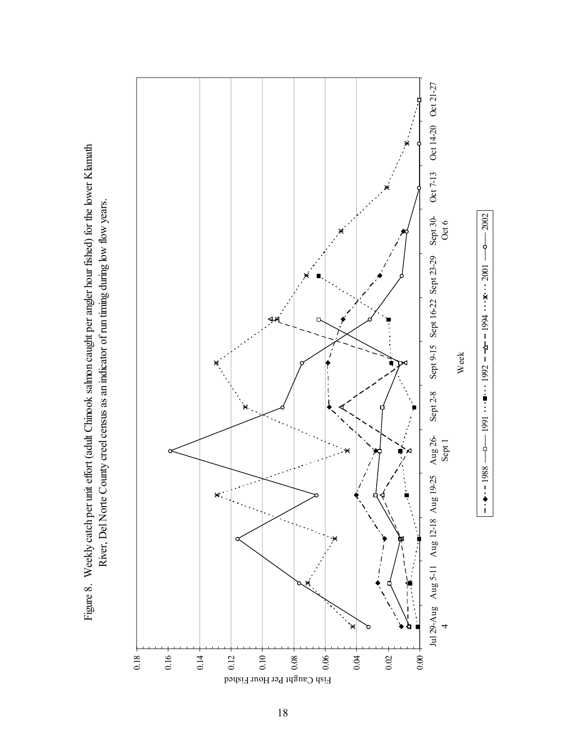Figure 8. Weekly catch per unit effort (adult Chinook salmon caught per angler hour fished) for the lower Klamath Figure 8. Weekly catch per unit effort (adult Chinook salmon caught per angler hour fished) for the lower Klamath River, Del Norte County creel census as an indicator of run timing during low flow years. River, Del Norte County creel census as an indicator of run timing during low flow years.

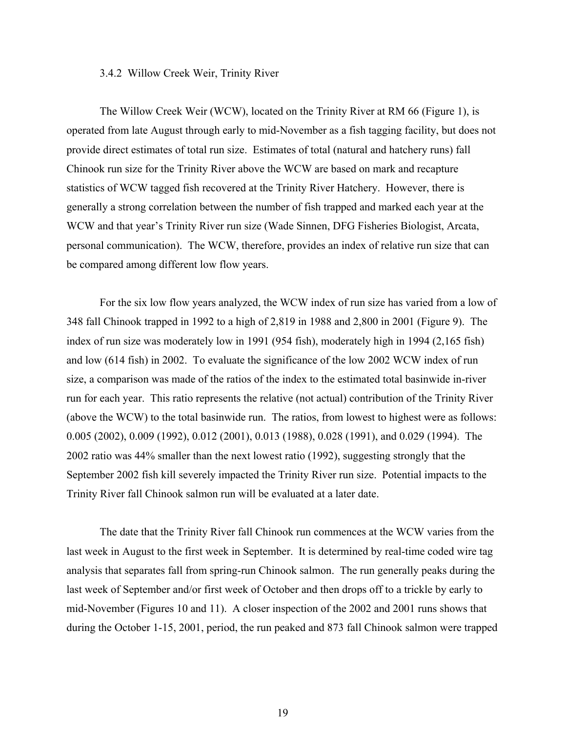## 3.4.2 Willow Creek Weir, Trinity River

The Willow Creek Weir (WCW), located on the Trinity River at RM 66 (Figure 1), is operated from late August through early to mid-November as a fish tagging facility, but does not provide direct estimates of total run size. Estimates of total (natural and hatchery runs) fall Chinook run size for the Trinity River above the WCW are based on mark and recapture statistics of WCW tagged fish recovered at the Trinity River Hatchery. However, there is generally a strong correlation between the number of fish trapped and marked each year at the WCW and that year's Trinity River run size (Wade Sinnen, DFG Fisheries Biologist, Arcata, personal communication). The WCW, therefore, provides an index of relative run size that can be compared among different low flow years.

 For the six low flow years analyzed, the WCW index of run size has varied from a low of 348 fall Chinook trapped in 1992 to a high of 2,819 in 1988 and 2,800 in 2001 (Figure 9). The index of run size was moderately low in 1991 (954 fish), moderately high in 1994 (2,165 fish) and low (614 fish) in 2002. To evaluate the significance of the low 2002 WCW index of run size, a comparison was made of the ratios of the index to the estimated total basinwide in-river run for each year. This ratio represents the relative (not actual) contribution of the Trinity River (above the WCW) to the total basinwide run. The ratios, from lowest to highest were as follows: 0.005 (2002), 0.009 (1992), 0.012 (2001), 0.013 (1988), 0.028 (1991), and 0.029 (1994). The 2002 ratio was 44% smaller than the next lowest ratio (1992), suggesting strongly that the September 2002 fish kill severely impacted the Trinity River run size. Potential impacts to the Trinity River fall Chinook salmon run will be evaluated at a later date.

 The date that the Trinity River fall Chinook run commences at the WCW varies from the last week in August to the first week in September. It is determined by real-time coded wire tag analysis that separates fall from spring-run Chinook salmon. The run generally peaks during the last week of September and/or first week of October and then drops off to a trickle by early to mid-November (Figures 10 and 11). A closer inspection of the 2002 and 2001 runs shows that during the October 1-15, 2001, period, the run peaked and 873 fall Chinook salmon were trapped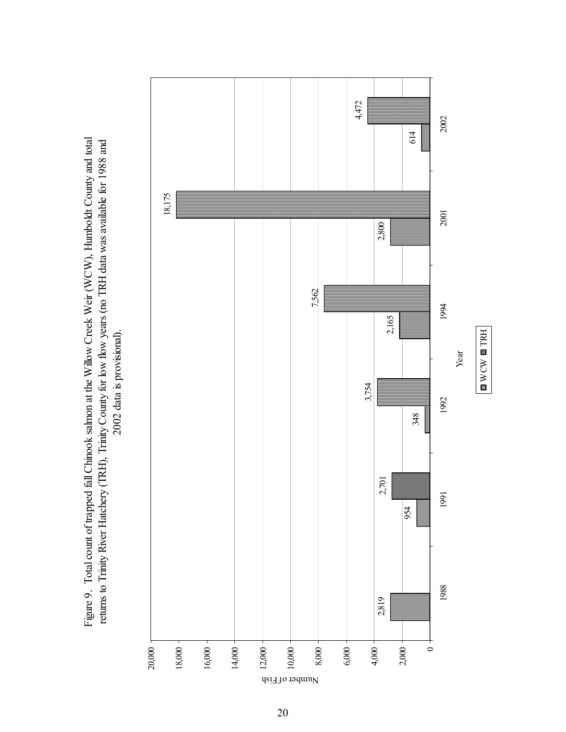Figure 9. Total count of trapped fall Chinook salmon at the Willow Creek Weir (WCW), Humboldt County and total Figure 9. Total count of trapped fall Chinook salmon at the Willow Creek Weir (WCW), Humboldt County and total returns to Trinity River Hatchery (TRH), Trinity County for low flow years (no TRH data was available for 1988 and returns to Trinity River Hatchery (TRH), Trinity County for low flow years (no TRH data was available for 1988 and 2002 data is provisional). 2002 data is provisional).

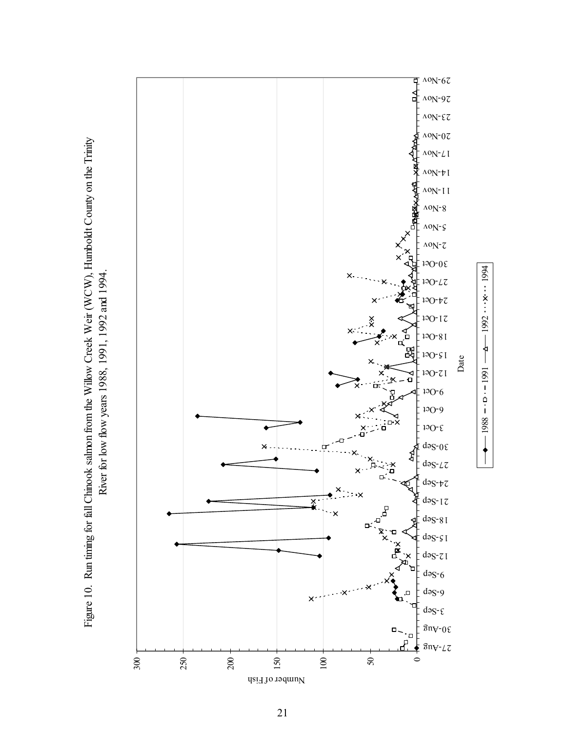

Figure 10. Run timing for fall Chinook salmon from the Willow Creek Weir (WCW), Humboldt County on the Trinity Figure 10. Run timing for fall Chinook salmon from the Willow Creek Weir (WCW), Humboldt County on the Trinity River for low flow years 1988, 1991, 1992 and 1994. River for low flow years 1988, 1991, 1992 and 1994.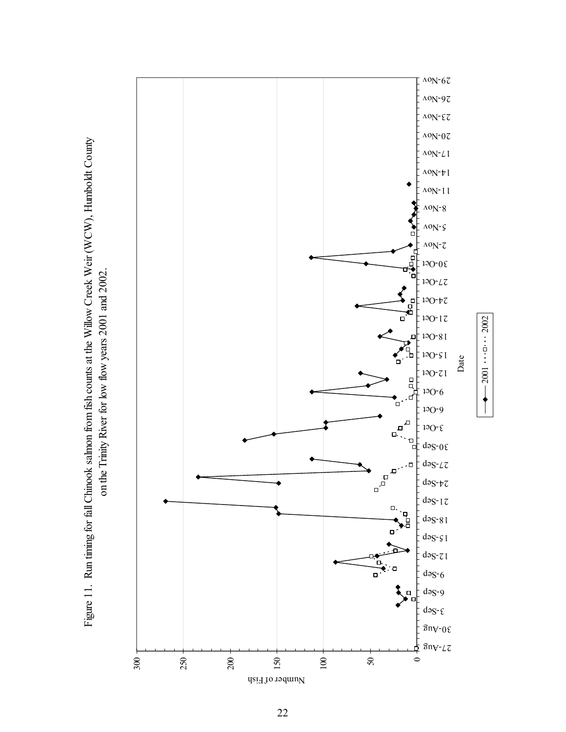

2001 2002

 $\leftarrow 2001$  = 2002

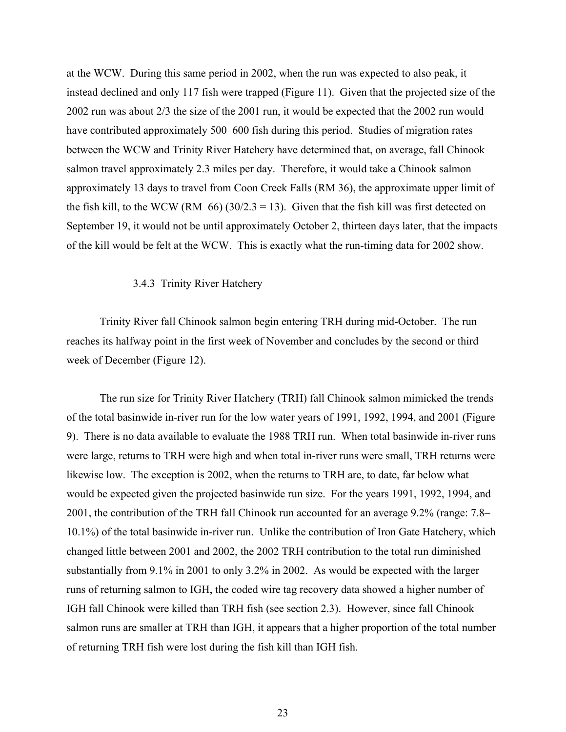at the WCW. During this same period in 2002, when the run was expected to also peak, it instead declined and only 117 fish were trapped (Figure 11). Given that the projected size of the 2002 run was about 2/3 the size of the 2001 run, it would be expected that the 2002 run would have contributed approximately 500–600 fish during this period. Studies of migration rates between the WCW and Trinity River Hatchery have determined that, on average, fall Chinook salmon travel approximately 2.3 miles per day. Therefore, it would take a Chinook salmon approximately 13 days to travel from Coon Creek Falls (RM 36), the approximate upper limit of the fish kill, to the WCW (RM  $66$ ) (30/2.3 = 13). Given that the fish kill was first detected on September 19, it would not be until approximately October 2, thirteen days later, that the impacts of the kill would be felt at the WCW. This is exactly what the run-timing data for 2002 show.

## 3.4.3 Trinity River Hatchery

Trinity River fall Chinook salmon begin entering TRH during mid-October. The run reaches its halfway point in the first week of November and concludes by the second or third week of December (Figure 12).

 The run size for Trinity River Hatchery (TRH) fall Chinook salmon mimicked the trends of the total basinwide in-river run for the low water years of 1991, 1992, 1994, and 2001 (Figure 9). There is no data available to evaluate the 1988 TRH run. When total basinwide in-river runs were large, returns to TRH were high and when total in-river runs were small, TRH returns were likewise low. The exception is 2002, when the returns to TRH are, to date, far below what would be expected given the projected basinwide run size. For the years 1991, 1992, 1994, and 2001, the contribution of the TRH fall Chinook run accounted for an average 9.2% (range: 7.8– 10.1%) of the total basinwide in-river run. Unlike the contribution of Iron Gate Hatchery, which changed little between 2001 and 2002, the 2002 TRH contribution to the total run diminished substantially from 9.1% in 2001 to only 3.2% in 2002. As would be expected with the larger runs of returning salmon to IGH, the coded wire tag recovery data showed a higher number of IGH fall Chinook were killed than TRH fish (see section 2.3). However, since fall Chinook salmon runs are smaller at TRH than IGH, it appears that a higher proportion of the total number of returning TRH fish were lost during the fish kill than IGH fish.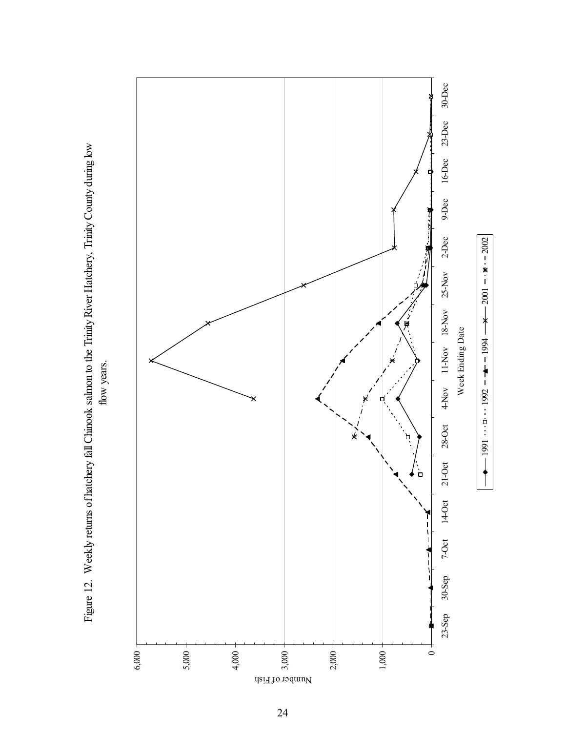

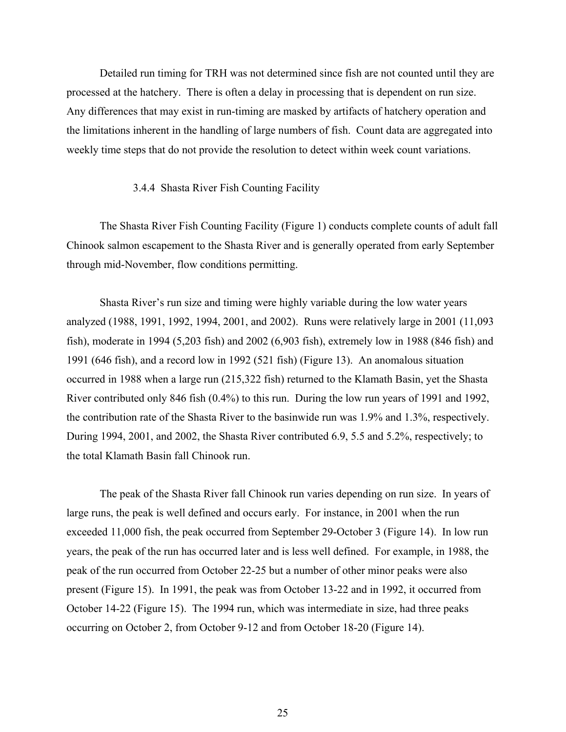Detailed run timing for TRH was not determined since fish are not counted until they are processed at the hatchery. There is often a delay in processing that is dependent on run size. Any differences that may exist in run-timing are masked by artifacts of hatchery operation and the limitations inherent in the handling of large numbers of fish. Count data are aggregated into weekly time steps that do not provide the resolution to detect within week count variations.

## 3.4.4 Shasta River Fish Counting Facility

 The Shasta River Fish Counting Facility (Figure 1) conducts complete counts of adult fall Chinook salmon escapement to the Shasta River and is generally operated from early September through mid-November, flow conditions permitting.

 Shasta River's run size and timing were highly variable during the low water years analyzed (1988, 1991, 1992, 1994, 2001, and 2002). Runs were relatively large in 2001 (11,093 fish), moderate in 1994 (5,203 fish) and 2002 (6,903 fish), extremely low in 1988 (846 fish) and 1991 (646 fish), and a record low in 1992 (521 fish) (Figure 13). An anomalous situation occurred in 1988 when a large run (215,322 fish) returned to the Klamath Basin, yet the Shasta River contributed only 846 fish (0.4%) to this run. During the low run years of 1991 and 1992, the contribution rate of the Shasta River to the basinwide run was 1.9% and 1.3%, respectively. During 1994, 2001, and 2002, the Shasta River contributed 6.9, 5.5 and 5.2%, respectively; to the total Klamath Basin fall Chinook run.

 The peak of the Shasta River fall Chinook run varies depending on run size. In years of large runs, the peak is well defined and occurs early. For instance, in 2001 when the run exceeded 11,000 fish, the peak occurred from September 29-October 3 (Figure 14). In low run years, the peak of the run has occurred later and is less well defined. For example, in 1988, the peak of the run occurred from October 22-25 but a number of other minor peaks were also present (Figure 15). In 1991, the peak was from October 13-22 and in 1992, it occurred from October 14-22 (Figure 15). The 1994 run, which was intermediate in size, had three peaks occurring on October 2, from October 9-12 and from October 18-20 (Figure 14).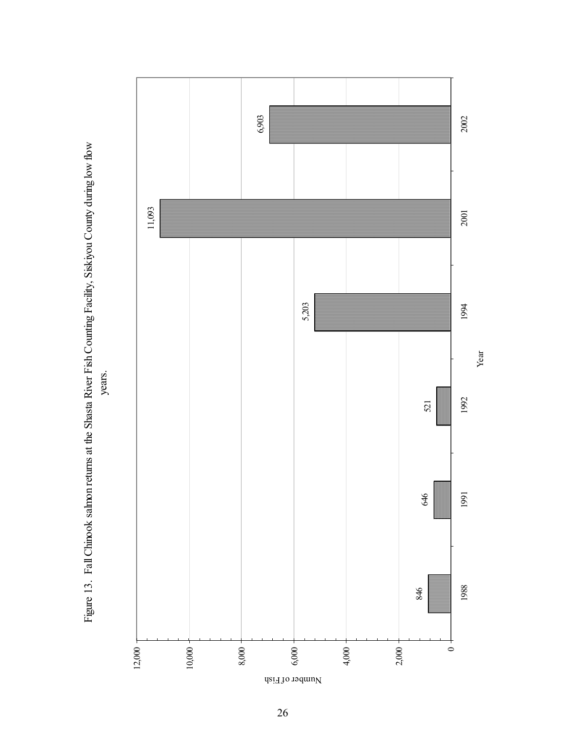Figure 13. Fall Chinook salmon returns at the Shasta River Fish Counting Facility, Siskiyou County during low flow Figure 13. Fall Chinook salmon returns at the Shasta River Fish Counting Facility, Siskiyou County during low flow

years.



26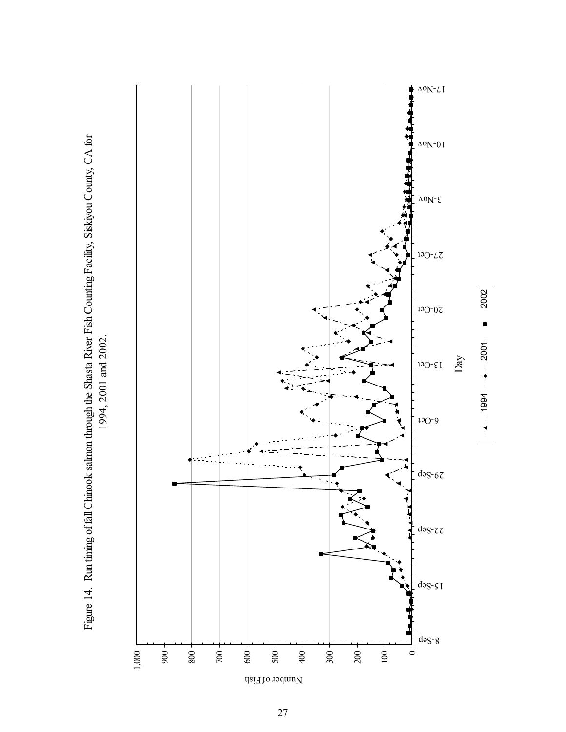$\Delta$ <sup>o</sup>N<sup>-</sup> $\angle$ <sub>I</sub> ŧ  $10^{-0}$  $\Delta$ <sup>o</sup>N<sup>-</sup> $\epsilon$  $130-L7$  $120-07$ Day 13-Oct 6-Oct  $dəS-67$  $dəS-zz$ 15-Sep  $dəS-8$ 1,000 900 800 700 600 500 400 300 200 100  $\circ$ 

 $-4$  1994  $\bullet$  2001

 $-$  2002



Number of Fish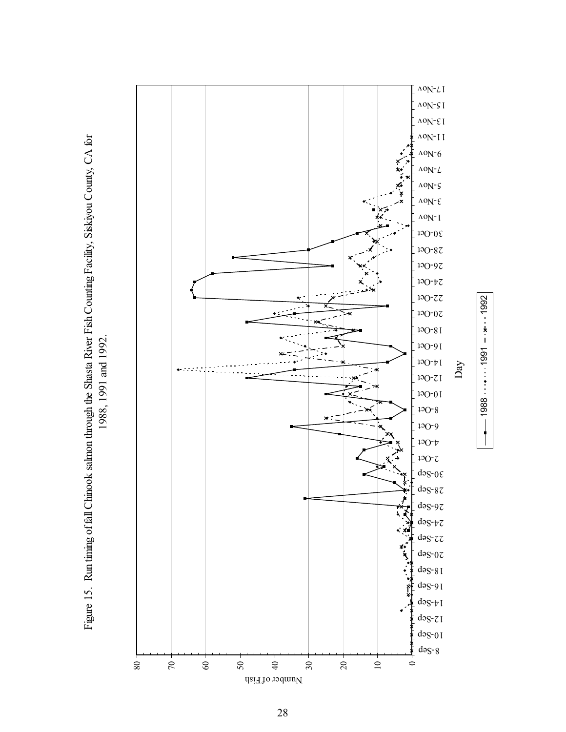



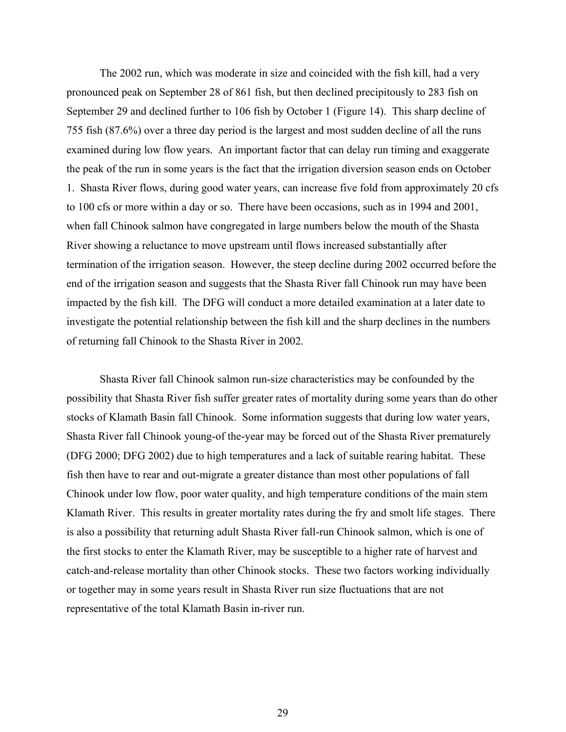The 2002 run, which was moderate in size and coincided with the fish kill, had a very pronounced peak on September 28 of 861 fish, but then declined precipitously to 283 fish on September 29 and declined further to 106 fish by October 1 (Figure 14). This sharp decline of 755 fish (87.6%) over a three day period is the largest and most sudden decline of all the runs examined during low flow years. An important factor that can delay run timing and exaggerate the peak of the run in some years is the fact that the irrigation diversion season ends on October 1. Shasta River flows, during good water years, can increase five fold from approximately 20 cfs to 100 cfs or more within a day or so. There have been occasions, such as in 1994 and 2001, when fall Chinook salmon have congregated in large numbers below the mouth of the Shasta River showing a reluctance to move upstream until flows increased substantially after termination of the irrigation season. However, the steep decline during 2002 occurred before the end of the irrigation season and suggests that the Shasta River fall Chinook run may have been impacted by the fish kill. The DFG will conduct a more detailed examination at a later date to investigate the potential relationship between the fish kill and the sharp declines in the numbers of returning fall Chinook to the Shasta River in 2002.

 Shasta River fall Chinook salmon run-size characteristics may be confounded by the possibility that Shasta River fish suffer greater rates of mortality during some years than do other stocks of Klamath Basin fall Chinook. Some information suggests that during low water years, Shasta River fall Chinook young-of the-year may be forced out of the Shasta River prematurely (DFG 2000; DFG 2002) due to high temperatures and a lack of suitable rearing habitat. These fish then have to rear and out-migrate a greater distance than most other populations of fall Chinook under low flow, poor water quality, and high temperature conditions of the main stem Klamath River. This results in greater mortality rates during the fry and smolt life stages. There is also a possibility that returning adult Shasta River fall-run Chinook salmon, which is one of the first stocks to enter the Klamath River, may be susceptible to a higher rate of harvest and catch-and-release mortality than other Chinook stocks. These two factors working individually or together may in some years result in Shasta River run size fluctuations that are not representative of the total Klamath Basin in-river run.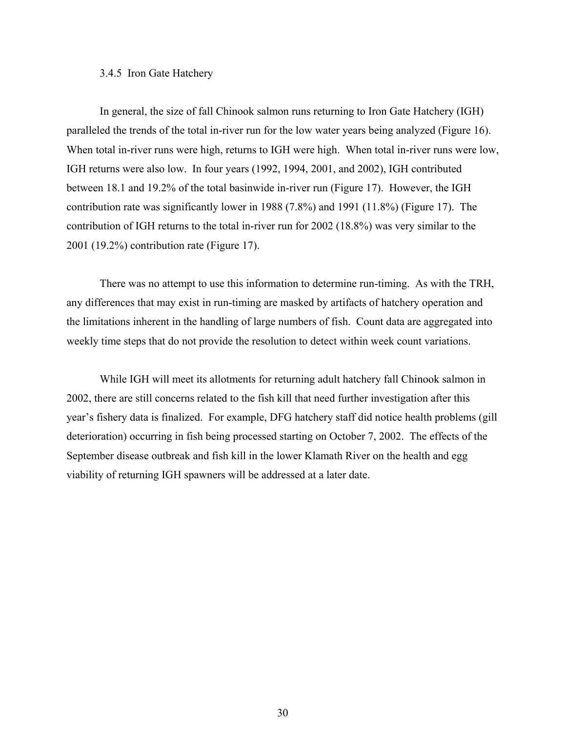## 3.4.5 Iron Gate Hatchery

 In general, the size of fall Chinook salmon runs returning to Iron Gate Hatchery (IGH) paralleled the trends of the total in-river run for the low water years being analyzed (Figure 16). When total in-river runs were high, returns to IGH were high. When total in-river runs were low, IGH returns were also low. In four years (1992, 1994, 2001, and 2002), IGH contributed between 18.1 and 19.2% of the total basinwide in-river run (Figure 17). However, the IGH contribution rate was significantly lower in 1988 (7.8%) and 1991 (11.8%) (Figure 17). The contribution of IGH returns to the total in-river run for 2002 (18.8%) was very similar to the 2001 (19.2%) contribution rate (Figure 17).

 There was no attempt to use this information to determine run-timing. As with the TRH, any differences that may exist in run-timing are masked by artifacts of hatchery operation and the limitations inherent in the handling of large numbers of fish. Count data are aggregated into weekly time steps that do not provide the resolution to detect within week count variations.

 While IGH will meet its allotments for returning adult hatchery fall Chinook salmon in 2002, there are still concerns related to the fish kill that need further investigation after this year's fishery data is finalized. For example, DFG hatchery staff did notice health problems (gill deterioration) occurring in fish being processed starting on October 7, 2002. The effects of the September disease outbreak and fish kill in the lower Klamath River on the health and egg viability of returning IGH spawners will be addressed at a later date.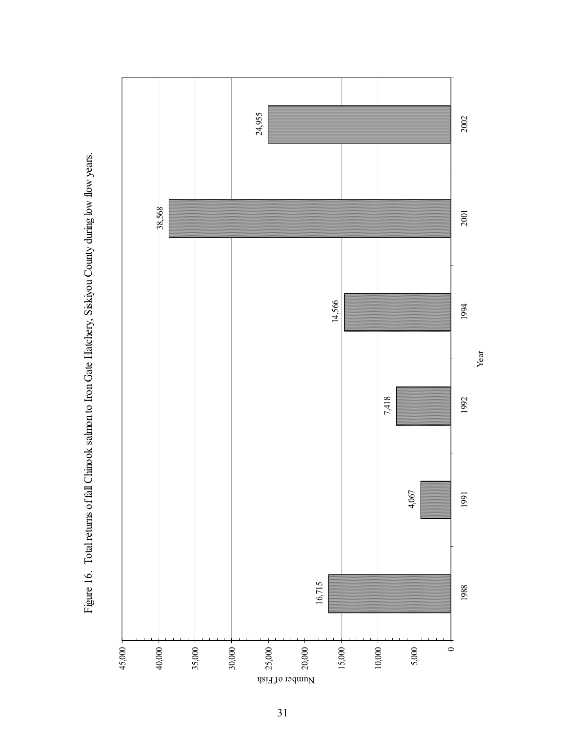Year

Figure 16. Total returns of fall Chinook salmon to Iron Gate Hatchery, Siskiyou County during low flow years. Figure 16. Total returns of fall Chinook salmon to Iron Gate Hatchery, Siskiyou County during low flow years.

Number of Fish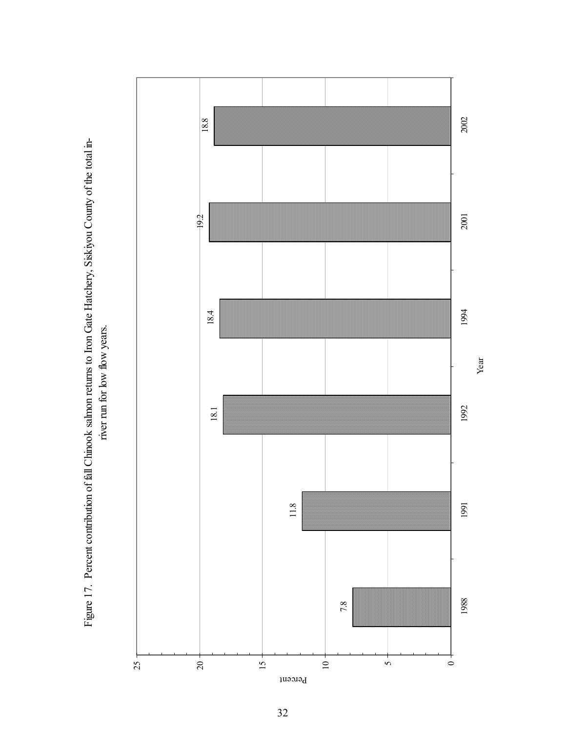Year

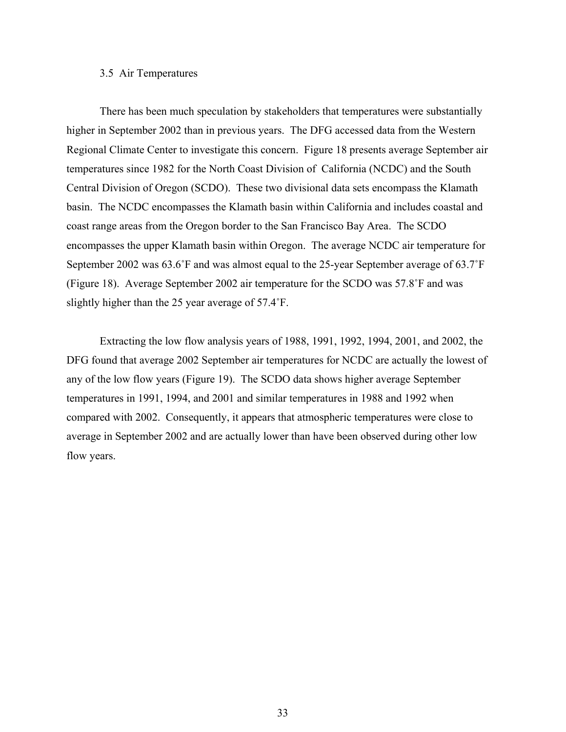## 3.5 Air Temperatures

 There has been much speculation by stakeholders that temperatures were substantially higher in September 2002 than in previous years. The DFG accessed data from the Western Regional Climate Center to investigate this concern. Figure 18 presents average September air temperatures since 1982 for the North Coast Division of California (NCDC) and the South Central Division of Oregon (SCDO). These two divisional data sets encompass the Klamath basin. The NCDC encompasses the Klamath basin within California and includes coastal and coast range areas from the Oregon border to the San Francisco Bay Area. The SCDO encompasses the upper Klamath basin within Oregon. The average NCDC air temperature for September 2002 was 63.6˚F and was almost equal to the 25-year September average of 63.7˚F (Figure 18). Average September 2002 air temperature for the SCDO was 57.8˚F and was slightly higher than the 25 year average of 57.4˚F.

 Extracting the low flow analysis years of 1988, 1991, 1992, 1994, 2001, and 2002, the DFG found that average 2002 September air temperatures for NCDC are actually the lowest of any of the low flow years (Figure 19). The SCDO data shows higher average September temperatures in 1991, 1994, and 2001 and similar temperatures in 1988 and 1992 when compared with 2002. Consequently, it appears that atmospheric temperatures were close to average in September 2002 and are actually lower than have been observed during other low flow years.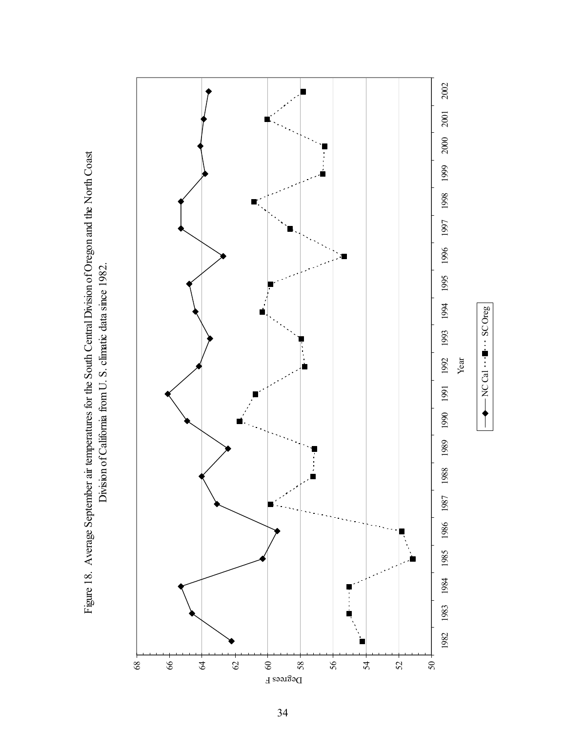Figure 18. Average September air temperatures for the South Central Division of Oregon and the North Coast Figure 18. Average September air temperatures for the South Central Division of Oregon and the North Coast Division of California from U.S. climatic data since 1982. Division of California from U. S. climatic data since 1982.

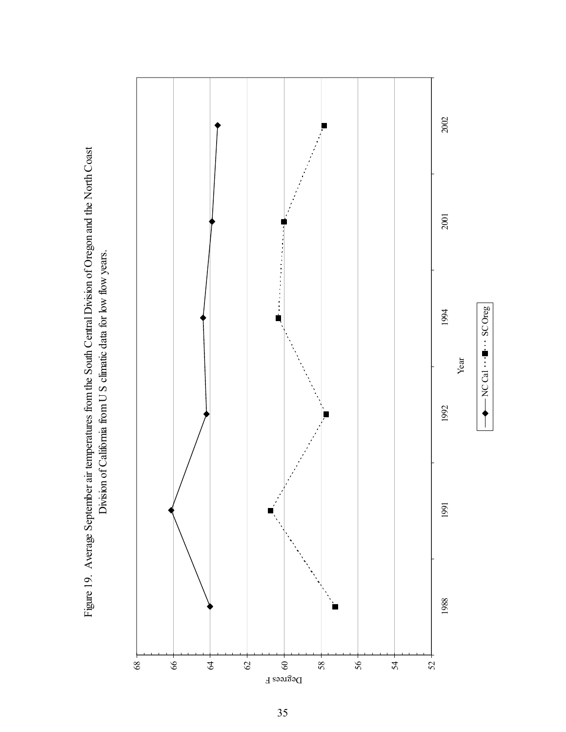Figure 19. Average September air temperatures from the South Central Division of Oregon and the North Coast Digure 19. Division of California from U S climatic data for low flow years. Figure 19. Average September air temperatures from the South Central Division of Oregon and the North Coast Division of California from U S climatic data for low flow years.

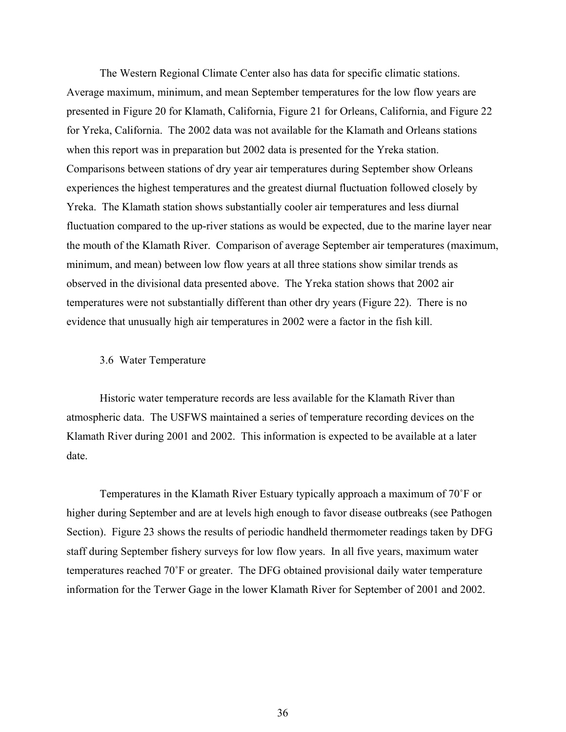The Western Regional Climate Center also has data for specific climatic stations. Average maximum, minimum, and mean September temperatures for the low flow years are presented in Figure 20 for Klamath, California, Figure 21 for Orleans, California, and Figure 22 for Yreka, California. The 2002 data was not available for the Klamath and Orleans stations when this report was in preparation but 2002 data is presented for the Yreka station. Comparisons between stations of dry year air temperatures during September show Orleans experiences the highest temperatures and the greatest diurnal fluctuation followed closely by Yreka. The Klamath station shows substantially cooler air temperatures and less diurnal fluctuation compared to the up-river stations as would be expected, due to the marine layer near the mouth of the Klamath River. Comparison of average September air temperatures (maximum, minimum, and mean) between low flow years at all three stations show similar trends as observed in the divisional data presented above. The Yreka station shows that 2002 air temperatures were not substantially different than other dry years (Figure 22). There is no evidence that unusually high air temperatures in 2002 were a factor in the fish kill.

## 3.6 Water Temperature

 Historic water temperature records are less available for the Klamath River than atmospheric data. The USFWS maintained a series of temperature recording devices on the Klamath River during 2001 and 2002. This information is expected to be available at a later date.

 Temperatures in the Klamath River Estuary typically approach a maximum of 70˚F or higher during September and are at levels high enough to favor disease outbreaks (see Pathogen Section). Figure 23 shows the results of periodic handheld thermometer readings taken by DFG staff during September fishery surveys for low flow years. In all five years, maximum water temperatures reached 70˚F or greater. The DFG obtained provisional daily water temperature information for the Terwer Gage in the lower Klamath River for September of 2001 and 2002.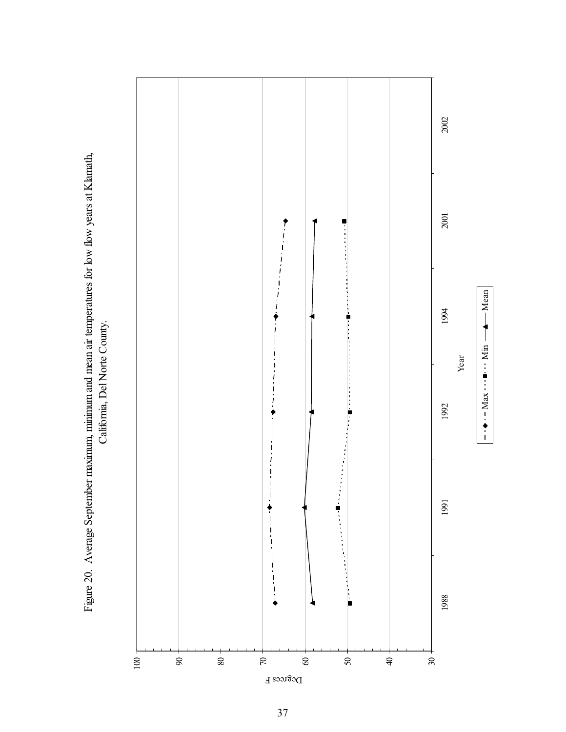Figure 20. Average September maximum, minimum and mean air temperatures for low flow years at Klamath, Figure 20. Average September maximum, minimum and mean air temperatures for low flow years at Klamath, California, Del Norte County. California, Del Norte County.

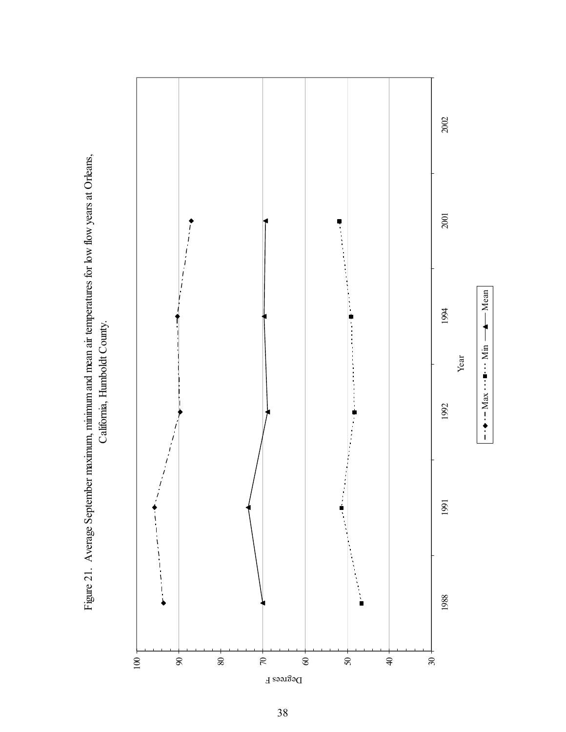Figure 21. Average September maximum, minimum and mean air temperatures for low flow years at Orleans, Figure 21. Average September maximum, minimum and mean air temperatures for low flow years at Orleans, California, Humboldt County. California, Humboldt County.

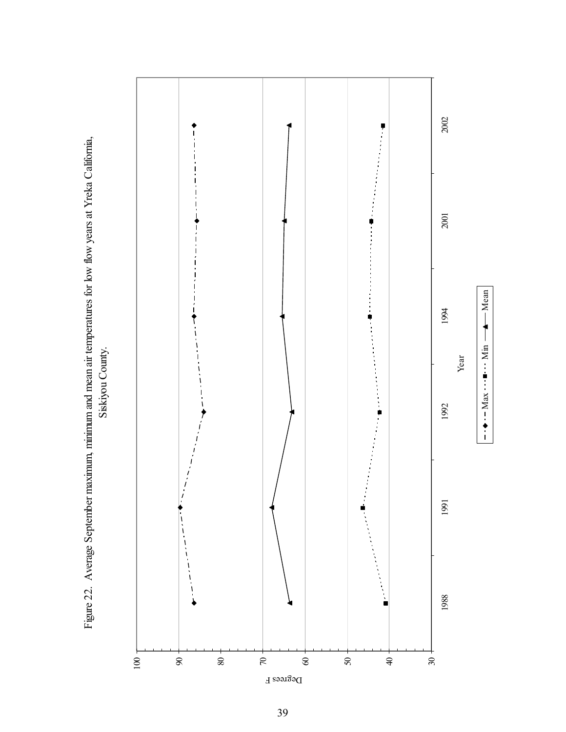Figure 22. Average September maximum, minimum and mean air temperatures for low flow years at Yreka California, Figure 22. Average September maximum, minimum and mean air temperatures for low flow years at Yreka California, Siskiyou County. Siskiyou County.

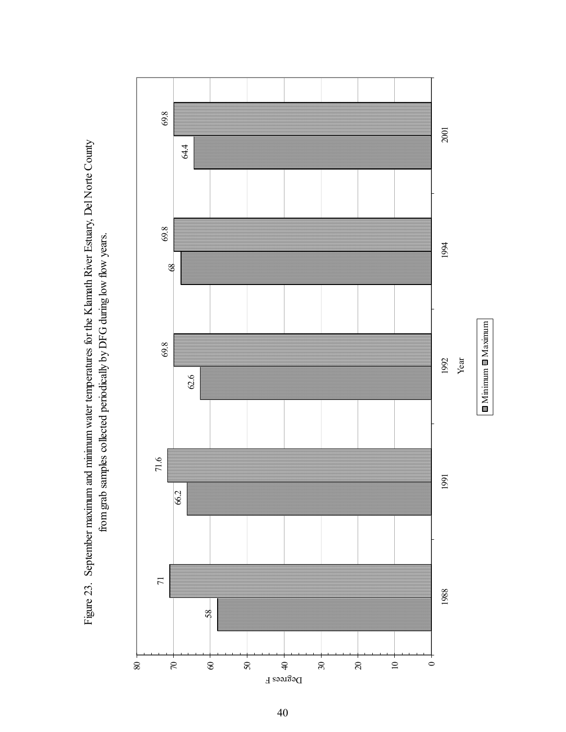Figure 23. September maximum and minimum water temperatures for the Klamath River Estuary, Del Norte County Figure 23. September maximum and minimum water temperatures for the Klamath River Estuary, Del Norte County from grab samples collected periodically by DFG during low flow years. from grab samples collected periodically by DFG during low flow years.

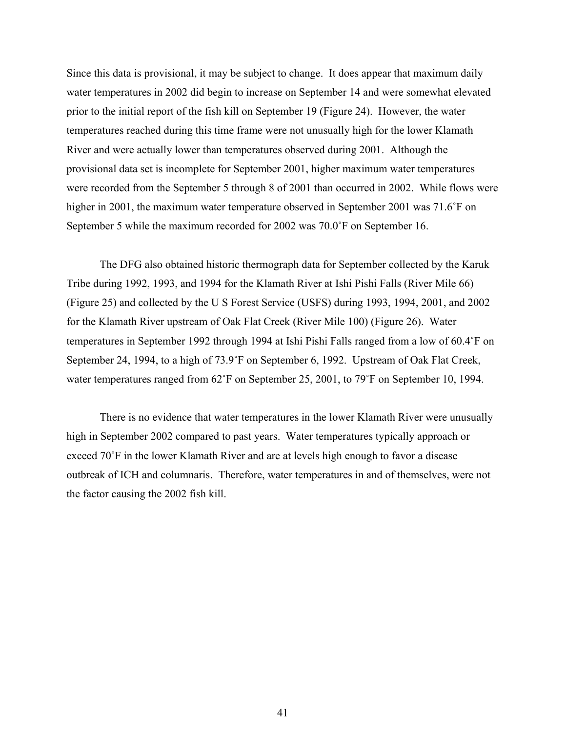Since this data is provisional, it may be subject to change. It does appear that maximum daily water temperatures in 2002 did begin to increase on September 14 and were somewhat elevated prior to the initial report of the fish kill on September 19 (Figure 24). However, the water temperatures reached during this time frame were not unusually high for the lower Klamath River and were actually lower than temperatures observed during 2001. Although the provisional data set is incomplete for September 2001, higher maximum water temperatures were recorded from the September 5 through 8 of 2001 than occurred in 2002. While flows were higher in 2001, the maximum water temperature observed in September 2001 was 71.6°F on September 5 while the maximum recorded for 2002 was 70.0˚F on September 16.

 The DFG also obtained historic thermograph data for September collected by the Karuk Tribe during 1992, 1993, and 1994 for the Klamath River at Ishi Pishi Falls (River Mile 66) (Figure 25) and collected by the U S Forest Service (USFS) during 1993, 1994, 2001, and 2002 for the Klamath River upstream of Oak Flat Creek (River Mile 100) (Figure 26). Water temperatures in September 1992 through 1994 at Ishi Pishi Falls ranged from a low of 60.4˚F on September 24, 1994, to a high of 73.9˚F on September 6, 1992. Upstream of Oak Flat Creek, water temperatures ranged from 62°F on September 25, 2001, to 79°F on September 10, 1994.

 There is no evidence that water temperatures in the lower Klamath River were unusually high in September 2002 compared to past years. Water temperatures typically approach or exceed 70˚F in the lower Klamath River and are at levels high enough to favor a disease outbreak of ICH and columnaris. Therefore, water temperatures in and of themselves, were not the factor causing the 2002 fish kill.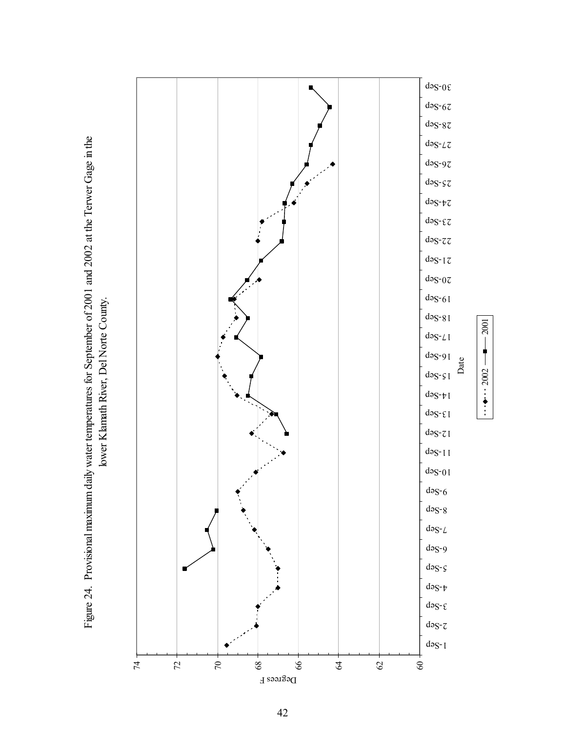Figure 24. Provisional maximum daily water temperatures for September of 2001 and 2002 at the Terwer Gage in the Figure 24. Provisional maximum daily water temperatures for September of 2001 and 2002 at the Terwer Gage in the lower Klamath River, Del Norte County. lower Klamath River, Del Norte County.

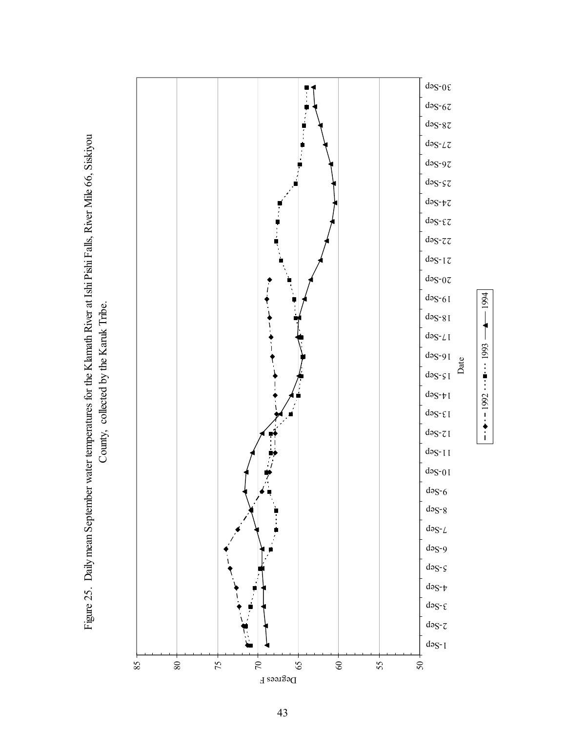

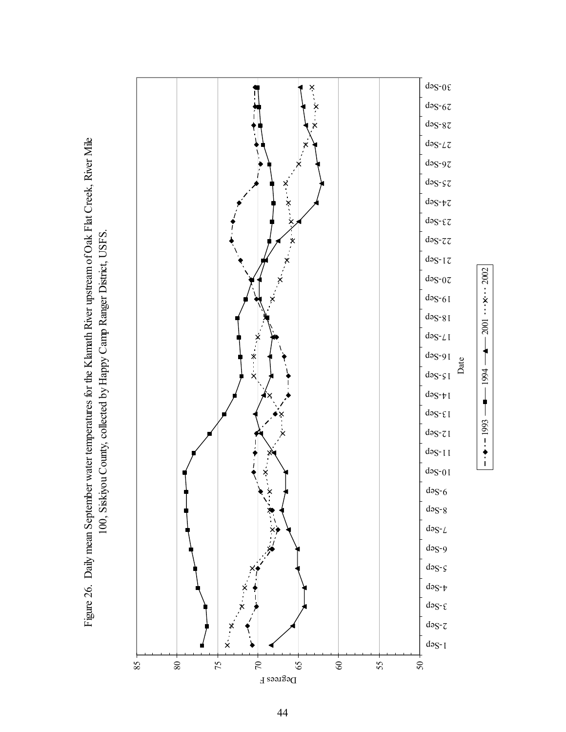



 $\frac{1}{2000}$   $\times$  1000  $\frac{1}{200}$   $\frac{1}{200}$   $\frac{1}{200}$   $\frac{1}{200}$ 

 $\frac{1}{100}$  -  $\frac{1}{100}$  -  $\frac{1}{100}$  -  $\frac{1}{100}$ 

 $2001$   $\times$  2002

44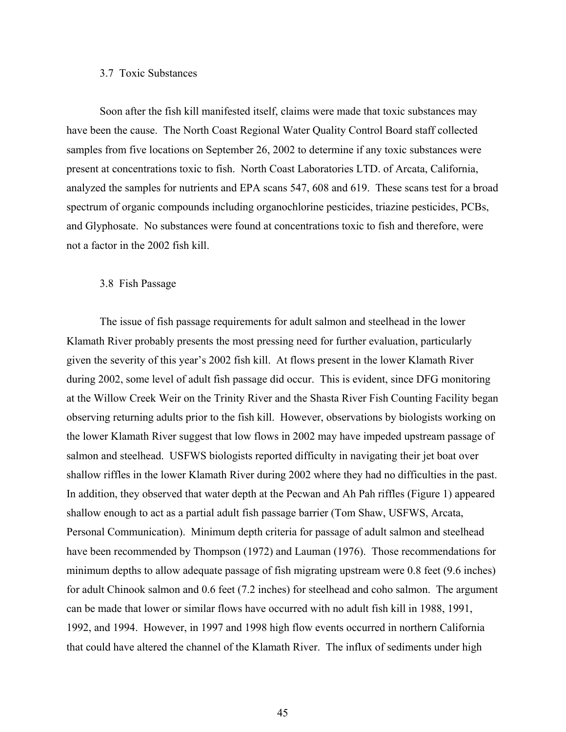## 3.7 Toxic Substances

 Soon after the fish kill manifested itself, claims were made that toxic substances may have been the cause. The North Coast Regional Water Quality Control Board staff collected samples from five locations on September 26, 2002 to determine if any toxic substances were present at concentrations toxic to fish. North Coast Laboratories LTD. of Arcata, California, analyzed the samples for nutrients and EPA scans 547, 608 and 619. These scans test for a broad spectrum of organic compounds including organochlorine pesticides, triazine pesticides, PCBs, and Glyphosate. No substances were found at concentrations toxic to fish and therefore, were not a factor in the 2002 fish kill.

#### 3.8 Fish Passage

 The issue of fish passage requirements for adult salmon and steelhead in the lower Klamath River probably presents the most pressing need for further evaluation, particularly given the severity of this year's 2002 fish kill. At flows present in the lower Klamath River during 2002, some level of adult fish passage did occur. This is evident, since DFG monitoring at the Willow Creek Weir on the Trinity River and the Shasta River Fish Counting Facility began observing returning adults prior to the fish kill. However, observations by biologists working on the lower Klamath River suggest that low flows in 2002 may have impeded upstream passage of salmon and steelhead. USFWS biologists reported difficulty in navigating their jet boat over shallow riffles in the lower Klamath River during 2002 where they had no difficulties in the past. In addition, they observed that water depth at the Pecwan and Ah Pah riffles (Figure 1) appeared shallow enough to act as a partial adult fish passage barrier (Tom Shaw, USFWS, Arcata, Personal Communication). Minimum depth criteria for passage of adult salmon and steelhead have been recommended by Thompson (1972) and Lauman (1976). Those recommendations for minimum depths to allow adequate passage of fish migrating upstream were 0.8 feet (9.6 inches) for adult Chinook salmon and 0.6 feet (7.2 inches) for steelhead and coho salmon. The argument can be made that lower or similar flows have occurred with no adult fish kill in 1988, 1991, 1992, and 1994. However, in 1997 and 1998 high flow events occurred in northern California that could have altered the channel of the Klamath River. The influx of sediments under high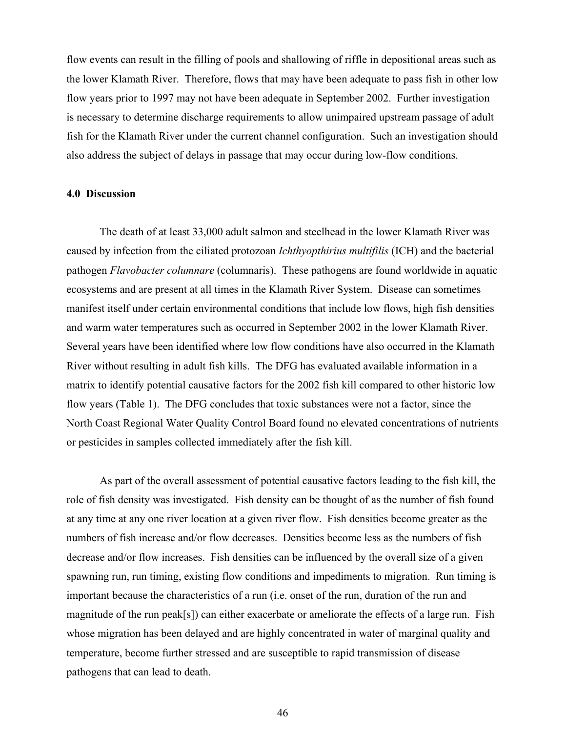flow events can result in the filling of pools and shallowing of riffle in depositional areas such as the lower Klamath River. Therefore, flows that may have been adequate to pass fish in other low flow years prior to 1997 may not have been adequate in September 2002. Further investigation is necessary to determine discharge requirements to allow unimpaired upstream passage of adult fish for the Klamath River under the current channel configuration. Such an investigation should also address the subject of delays in passage that may occur during low-flow conditions.

## **4.0 Discussion**

 The death of at least 33,000 adult salmon and steelhead in the lower Klamath River was caused by infection from the ciliated protozoan *Ichthyopthirius multifilis* (ICH) and the bacterial pathogen *Flavobacter columnare* (columnaris). These pathogens are found worldwide in aquatic ecosystems and are present at all times in the Klamath River System. Disease can sometimes manifest itself under certain environmental conditions that include low flows, high fish densities and warm water temperatures such as occurred in September 2002 in the lower Klamath River. Several years have been identified where low flow conditions have also occurred in the Klamath River without resulting in adult fish kills. The DFG has evaluated available information in a matrix to identify potential causative factors for the 2002 fish kill compared to other historic low flow years (Table 1). The DFG concludes that toxic substances were not a factor, since the North Coast Regional Water Quality Control Board found no elevated concentrations of nutrients or pesticides in samples collected immediately after the fish kill.

 As part of the overall assessment of potential causative factors leading to the fish kill, the role of fish density was investigated. Fish density can be thought of as the number of fish found at any time at any one river location at a given river flow. Fish densities become greater as the numbers of fish increase and/or flow decreases. Densities become less as the numbers of fish decrease and/or flow increases. Fish densities can be influenced by the overall size of a given spawning run, run timing, existing flow conditions and impediments to migration. Run timing is important because the characteristics of a run (i.e. onset of the run, duration of the run and magnitude of the run peak[s]) can either exacerbate or ameliorate the effects of a large run. Fish whose migration has been delayed and are highly concentrated in water of marginal quality and temperature, become further stressed and are susceptible to rapid transmission of disease pathogens that can lead to death.

46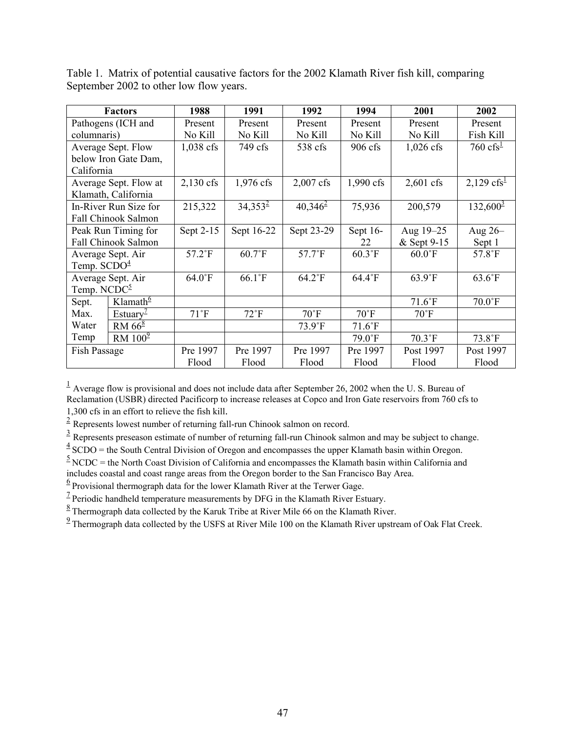|                               | <b>Factors</b>             | 1988          | 1991          | 1992            | 1994           | 2001            | 2002                   |
|-------------------------------|----------------------------|---------------|---------------|-----------------|----------------|-----------------|------------------------|
| Pathogens (ICH and            |                            | Present       | Present       | Present         | Present        | Present         | Present                |
| columnaris)                   |                            | No Kill       | No Kill       | No Kill         | No Kill        | No Kill         | Fish Kill              |
|                               | Average Sept. Flow         | 1,038 cfs     | 749 cfs       | 538 cfs         | 906 cfs        | $1,026$ cfs     | $760 \text{ cfs}^1$    |
|                               | below Iron Gate Dam,       |               |               |                 |                |                 |                        |
| California                    |                            |               |               |                 |                |                 |                        |
|                               | Average Sept. Flow at      | $2,130$ cfs   | 1,976 cfs     | $2,007$ cfs     | 1,990 cfs      | $2,601$ cfs     | 2,129 cfs <sup>1</sup> |
|                               | Klamath, California        |               |               |                 |                |                 |                        |
|                               | In-River Run Size for      | 215,322       | $34,353^2$    | $40,346^2$      | 75,936         | 200,579         | $132,600^3$            |
|                               | Fall Chinook Salmon        |               |               |                 |                |                 |                        |
|                               | Peak Run Timing for        | Sept 2-15     | Sept 16-22    | Sept 23-29      | Sept 16-       | Aug 19-25       | Aug $26-$              |
|                               | <b>Fall Chinook Salmon</b> |               |               |                 | 22             | & Sept 9-15     | Sept 1                 |
|                               | Average Sept. Air          | 57.2°F        | $60.7$ °F     | $57.7^{\circ}F$ | $60.3$ °F      | $60.0$ °F       | $57.8$ °F              |
| Temp. $SCDO4$                 |                            |               |               |                 |                |                 |                        |
|                               | Average Sept. Air          | $64.0$ °F     | 66.1°F        | $64.2^{\circ}F$ | 64.4°F         | $63.9^{\circ}F$ | $63.6^{\circ}F$        |
| Temp. NCD $C^{\underline{5}}$ |                            |               |               |                 |                |                 |                        |
| Sept.                         | Klamath $\frac{6}{5}$      |               |               |                 |                | $71.6$ °F       | $70.0\textdegree F$    |
| Max.                          | Estuary <sup>1</sup>       | $71^{\circ}F$ | $72^{\circ}F$ | $70^{\circ}$ F  | $70^{\circ}$ F | $70^{\circ}$ F  |                        |
| Water                         | RM $668$                   |               |               | $73.9^{\circ}F$ | $71.6$ °F      |                 |                        |
| Temp                          | RM $1009$                  |               |               |                 | 79.0°F         | $70.3$ °F       | 73.8°F                 |
| Fish Passage                  |                            | Pre 1997      | Pre 1997      | Pre 1997        | Pre 1997       | Post 1997       | Post 1997              |
|                               |                            | Flood         | Flood         | Flood           | Flood          | Flood           | Flood                  |

Table 1. Matrix of potential causative factors for the 2002 Klamath River fish kill, comparing September 2002 to other low flow years.

 $\frac{1}{2}$  Average flow is provisional and does not include data after September 26, 2002 when the U.S. Bureau of Reclamation (USBR) directed Pacificorp to increase releases at Copco and Iron Gate reservoirs from 760 cfs to

1,300 cfs in an effort to relieve the fish kill.<br> $\frac{2}{\pi}$  Represents lowest number of returning fall-run Chinook salmon on record.

 $\frac{3}{3}$  Represents preseason estimate of number of returning fall-run Chinook salmon and may be subject to change.

 $\frac{4}{5}$  SCDO = the South Central Division of Oregon and encompasses the upper Klamath basin within Oregon.<br>  $\frac{5}{5}$  NCDC = the North Coast Division of California and encompasses the Klamath basin within California and

includes coastal and coast range areas from the Oregon border to the San Francisco Bay Area.

 $6$  Provisional thermograph data for the lower Klamath River at the Terwer Gage.

 $1/2$  Periodic handheld temperature measurements by DFG in the Klamath River Estuary.

 $8 \overline{ }$  Thermograph data collected by the Karuk Tribe at River Mile 66 on the Klamath River.

<sup>9</sup> Thermograph data collected by the USFS at River Mile 100 on the Klamath River upstream of Oak Flat Creek.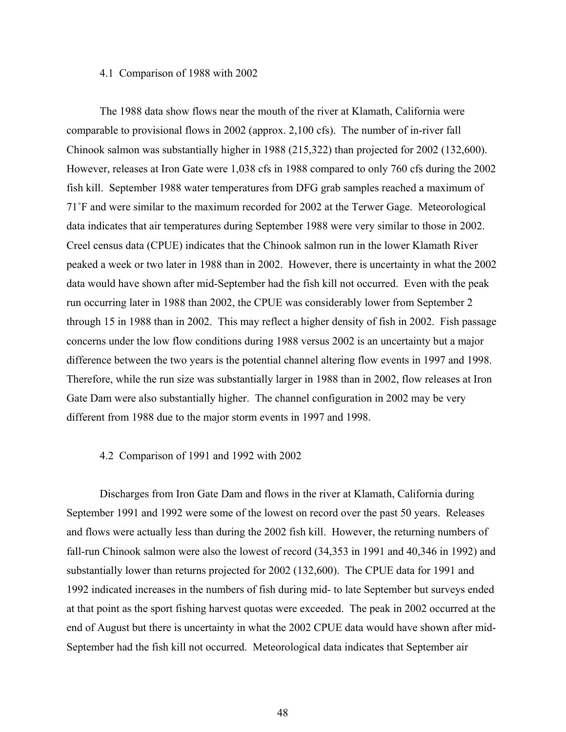## 4.1 Comparison of 1988 with 2002

 The 1988 data show flows near the mouth of the river at Klamath, California were comparable to provisional flows in 2002 (approx. 2,100 cfs). The number of in-river fall Chinook salmon was substantially higher in 1988 (215,322) than projected for 2002 (132,600). However, releases at Iron Gate were 1,038 cfs in 1988 compared to only 760 cfs during the 2002 fish kill. September 1988 water temperatures from DFG grab samples reached a maximum of 71˚F and were similar to the maximum recorded for 2002 at the Terwer Gage. Meteorological data indicates that air temperatures during September 1988 were very similar to those in 2002. Creel census data (CPUE) indicates that the Chinook salmon run in the lower Klamath River peaked a week or two later in 1988 than in 2002. However, there is uncertainty in what the 2002 data would have shown after mid-September had the fish kill not occurred. Even with the peak run occurring later in 1988 than 2002, the CPUE was considerably lower from September 2 through 15 in 1988 than in 2002. This may reflect a higher density of fish in 2002. Fish passage concerns under the low flow conditions during 1988 versus 2002 is an uncertainty but a major difference between the two years is the potential channel altering flow events in 1997 and 1998. Therefore, while the run size was substantially larger in 1988 than in 2002, flow releases at Iron Gate Dam were also substantially higher. The channel configuration in 2002 may be very different from 1988 due to the major storm events in 1997 and 1998.

#### 4.2 Comparison of 1991 and 1992 with 2002

 Discharges from Iron Gate Dam and flows in the river at Klamath, California during September 1991 and 1992 were some of the lowest on record over the past 50 years. Releases and flows were actually less than during the 2002 fish kill. However, the returning numbers of fall-run Chinook salmon were also the lowest of record (34,353 in 1991 and 40,346 in 1992) and substantially lower than returns projected for 2002 (132,600). The CPUE data for 1991 and 1992 indicated increases in the numbers of fish during mid- to late September but surveys ended at that point as the sport fishing harvest quotas were exceeded. The peak in 2002 occurred at the end of August but there is uncertainty in what the 2002 CPUE data would have shown after mid-September had the fish kill not occurred. Meteorological data indicates that September air

48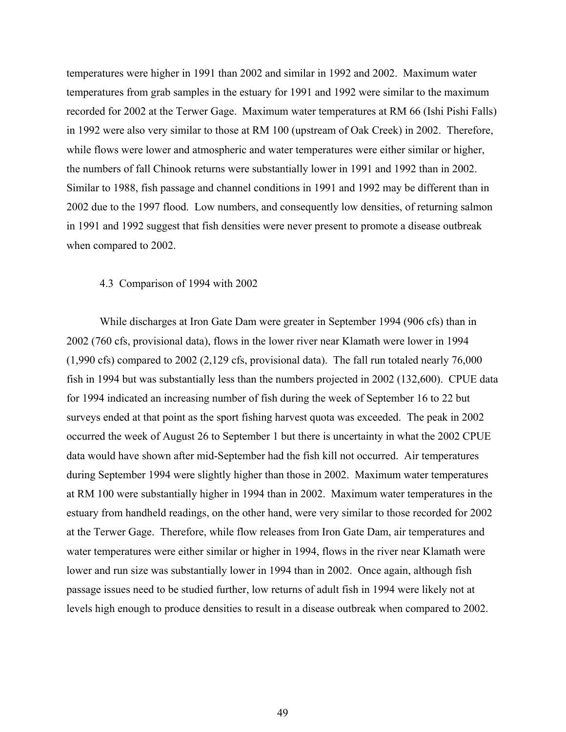temperatures were higher in 1991 than 2002 and similar in 1992 and 2002. Maximum water temperatures from grab samples in the estuary for 1991 and 1992 were similar to the maximum recorded for 2002 at the Terwer Gage. Maximum water temperatures at RM 66 (Ishi Pishi Falls) in 1992 were also very similar to those at RM 100 (upstream of Oak Creek) in 2002. Therefore, while flows were lower and atmospheric and water temperatures were either similar or higher, the numbers of fall Chinook returns were substantially lower in 1991 and 1992 than in 2002. Similar to 1988, fish passage and channel conditions in 1991 and 1992 may be different than in 2002 due to the 1997 flood. Low numbers, and consequently low densities, of returning salmon in 1991 and 1992 suggest that fish densities were never present to promote a disease outbreak when compared to 2002.

## 4.3 Comparison of 1994 with 2002

 While discharges at Iron Gate Dam were greater in September 1994 (906 cfs) than in 2002 (760 cfs, provisional data), flows in the lower river near Klamath were lower in 1994 (1,990 cfs) compared to 2002 (2,129 cfs, provisional data). The fall run totaled nearly 76,000 fish in 1994 but was substantially less than the numbers projected in 2002 (132,600). CPUE data for 1994 indicated an increasing number of fish during the week of September 16 to 22 but surveys ended at that point as the sport fishing harvest quota was exceeded. The peak in 2002 occurred the week of August 26 to September 1 but there is uncertainty in what the 2002 CPUE data would have shown after mid-September had the fish kill not occurred. Air temperatures during September 1994 were slightly higher than those in 2002. Maximum water temperatures at RM 100 were substantially higher in 1994 than in 2002. Maximum water temperatures in the estuary from handheld readings, on the other hand, were very similar to those recorded for 2002 at the Terwer Gage. Therefore, while flow releases from Iron Gate Dam, air temperatures and water temperatures were either similar or higher in 1994, flows in the river near Klamath were lower and run size was substantially lower in 1994 than in 2002. Once again, although fish passage issues need to be studied further, low returns of adult fish in 1994 were likely not at levels high enough to produce densities to result in a disease outbreak when compared to 2002.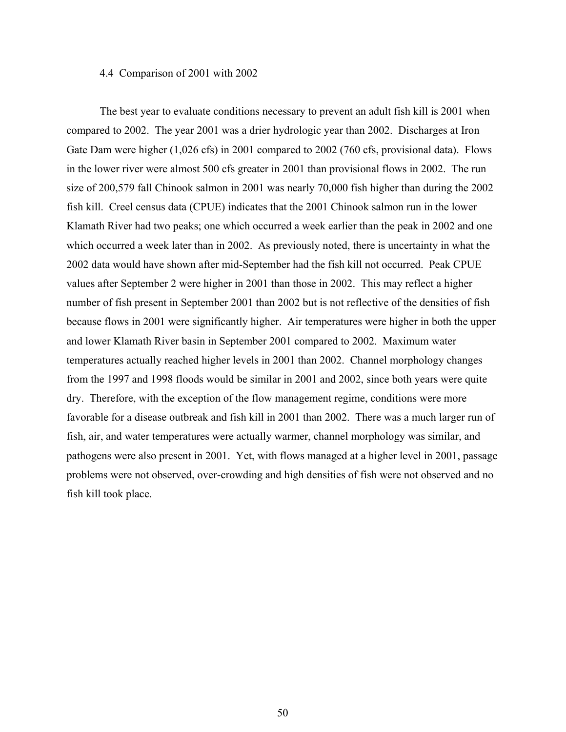## 4.4 Comparison of 2001 with 2002

 The best year to evaluate conditions necessary to prevent an adult fish kill is 2001 when compared to 2002. The year 2001 was a drier hydrologic year than 2002. Discharges at Iron Gate Dam were higher (1,026 cfs) in 2001 compared to 2002 (760 cfs, provisional data). Flows in the lower river were almost 500 cfs greater in 2001 than provisional flows in 2002. The run size of 200,579 fall Chinook salmon in 2001 was nearly 70,000 fish higher than during the 2002 fish kill. Creel census data (CPUE) indicates that the 2001 Chinook salmon run in the lower Klamath River had two peaks; one which occurred a week earlier than the peak in 2002 and one which occurred a week later than in 2002. As previously noted, there is uncertainty in what the 2002 data would have shown after mid-September had the fish kill not occurred. Peak CPUE values after September 2 were higher in 2001 than those in 2002. This may reflect a higher number of fish present in September 2001 than 2002 but is not reflective of the densities of fish because flows in 2001 were significantly higher. Air temperatures were higher in both the upper and lower Klamath River basin in September 2001 compared to 2002. Maximum water temperatures actually reached higher levels in 2001 than 2002. Channel morphology changes from the 1997 and 1998 floods would be similar in 2001 and 2002, since both years were quite dry. Therefore, with the exception of the flow management regime, conditions were more favorable for a disease outbreak and fish kill in 2001 than 2002. There was a much larger run of fish, air, and water temperatures were actually warmer, channel morphology was similar, and pathogens were also present in 2001. Yet, with flows managed at a higher level in 2001, passage problems were not observed, over-crowding and high densities of fish were not observed and no fish kill took place.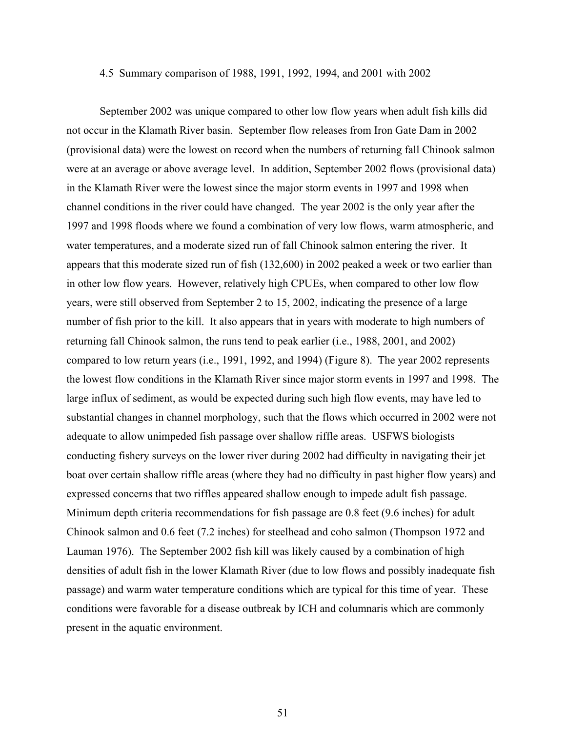### 4.5 Summary comparison of 1988, 1991, 1992, 1994, and 2001 with 2002

 September 2002 was unique compared to other low flow years when adult fish kills did not occur in the Klamath River basin. September flow releases from Iron Gate Dam in 2002 (provisional data) were the lowest on record when the numbers of returning fall Chinook salmon were at an average or above average level. In addition, September 2002 flows (provisional data) in the Klamath River were the lowest since the major storm events in 1997 and 1998 when channel conditions in the river could have changed. The year 2002 is the only year after the 1997 and 1998 floods where we found a combination of very low flows, warm atmospheric, and water temperatures, and a moderate sized run of fall Chinook salmon entering the river. It appears that this moderate sized run of fish (132,600) in 2002 peaked a week or two earlier than in other low flow years. However, relatively high CPUEs, when compared to other low flow years, were still observed from September 2 to 15, 2002, indicating the presence of a large number of fish prior to the kill. It also appears that in years with moderate to high numbers of returning fall Chinook salmon, the runs tend to peak earlier (i.e., 1988, 2001, and 2002) compared to low return years (i.e., 1991, 1992, and 1994) (Figure 8). The year 2002 represents the lowest flow conditions in the Klamath River since major storm events in 1997 and 1998. The large influx of sediment, as would be expected during such high flow events, may have led to substantial changes in channel morphology, such that the flows which occurred in 2002 were not adequate to allow unimpeded fish passage over shallow riffle areas. USFWS biologists conducting fishery surveys on the lower river during 2002 had difficulty in navigating their jet boat over certain shallow riffle areas (where they had no difficulty in past higher flow years) and expressed concerns that two riffles appeared shallow enough to impede adult fish passage. Minimum depth criteria recommendations for fish passage are 0.8 feet (9.6 inches) for adult Chinook salmon and 0.6 feet (7.2 inches) for steelhead and coho salmon (Thompson 1972 and Lauman 1976). The September 2002 fish kill was likely caused by a combination of high densities of adult fish in the lower Klamath River (due to low flows and possibly inadequate fish passage) and warm water temperature conditions which are typical for this time of year. These conditions were favorable for a disease outbreak by ICH and columnaris which are commonly present in the aquatic environment.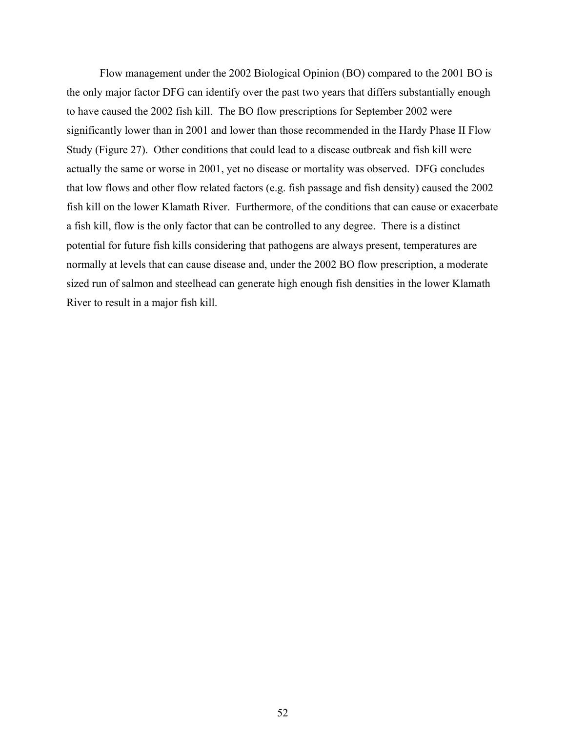Flow management under the 2002 Biological Opinion (BO) compared to the 2001 BO is the only major factor DFG can identify over the past two years that differs substantially enough to have caused the 2002 fish kill. The BO flow prescriptions for September 2002 were significantly lower than in 2001 and lower than those recommended in the Hardy Phase II Flow Study (Figure 27). Other conditions that could lead to a disease outbreak and fish kill were actually the same or worse in 2001, yet no disease or mortality was observed. DFG concludes that low flows and other flow related factors (e.g. fish passage and fish density) caused the 2002 fish kill on the lower Klamath River. Furthermore, of the conditions that can cause or exacerbate a fish kill, flow is the only factor that can be controlled to any degree. There is a distinct potential for future fish kills considering that pathogens are always present, temperatures are normally at levels that can cause disease and, under the 2002 BO flow prescription, a moderate sized run of salmon and steelhead can generate high enough fish densities in the lower Klamath River to result in a major fish kill.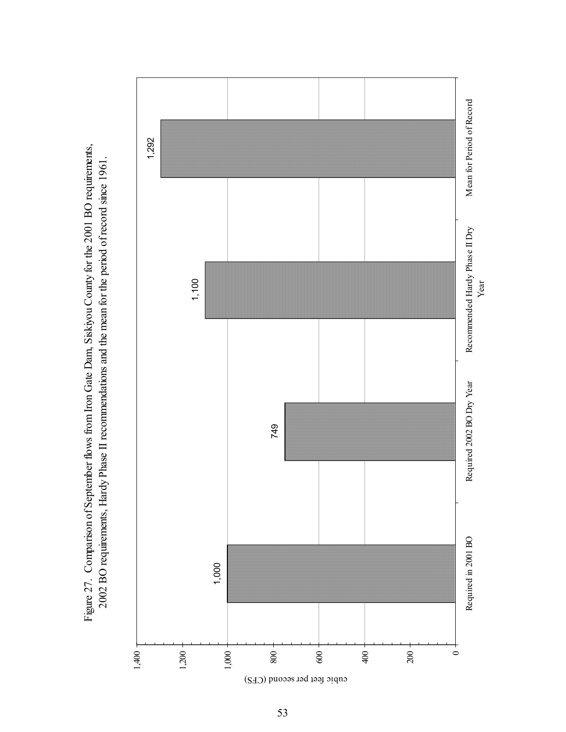Figure 27. Comparison of September flows from Iron Gate Dam, Siskiyou County for the 2001 BO requirements, Figure 27. Comparison of September flows from Iron Gate Dam, Siskiyou County for the 2001 BO requirements, 2002 BO requirements, Hardy Phase II recommendations and the mean for the period of record since 1961. 2002 BO requirements, Hardy Phase II recommendations and the mean for the period of record since 1961.

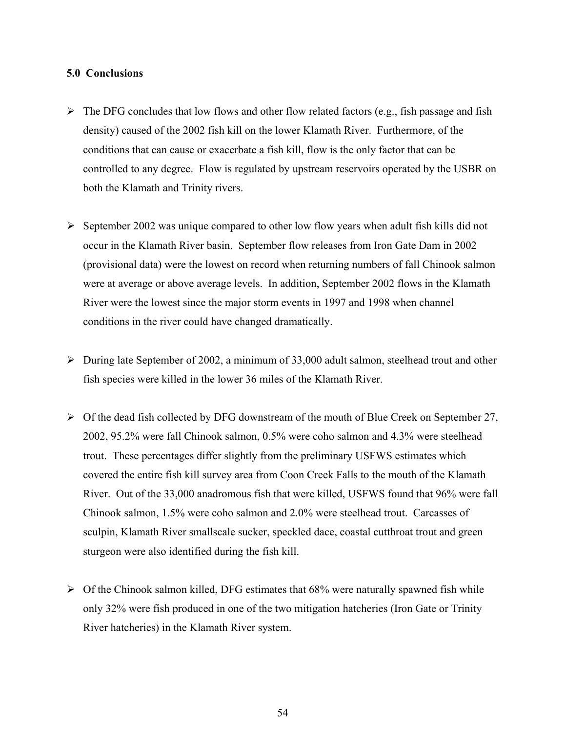## **5.0 Conclusions**

- $\triangleright$  The DFG concludes that low flows and other flow related factors (e.g., fish passage and fish density) caused of the 2002 fish kill on the lower Klamath River. Furthermore, of the conditions that can cause or exacerbate a fish kill, flow is the only factor that can be controlled to any degree. Flow is regulated by upstream reservoirs operated by the USBR on both the Klamath and Trinity rivers.
- $\triangleright$  September 2002 was unique compared to other low flow years when adult fish kills did not occur in the Klamath River basin. September flow releases from Iron Gate Dam in 2002 (provisional data) were the lowest on record when returning numbers of fall Chinook salmon were at average or above average levels. In addition, September 2002 flows in the Klamath River were the lowest since the major storm events in 1997 and 1998 when channel conditions in the river could have changed dramatically.
- $\triangleright$  During late September of 2002, a minimum of 33,000 adult salmon, steelhead trout and other fish species were killed in the lower 36 miles of the Klamath River.
- $\triangleright$  Of the dead fish collected by DFG downstream of the mouth of Blue Creek on September 27, 2002, 95.2% were fall Chinook salmon, 0.5% were coho salmon and 4.3% were steelhead trout. These percentages differ slightly from the preliminary USFWS estimates which covered the entire fish kill survey area from Coon Creek Falls to the mouth of the Klamath River. Out of the 33,000 anadromous fish that were killed, USFWS found that 96% were fall Chinook salmon, 1.5% were coho salmon and 2.0% were steelhead trout. Carcasses of sculpin, Klamath River smallscale sucker, speckled dace, coastal cutthroat trout and green sturgeon were also identified during the fish kill.
- $\triangleright$  Of the Chinook salmon killed, DFG estimates that 68% were naturally spawned fish while only 32% were fish produced in one of the two mitigation hatcheries (Iron Gate or Trinity River hatcheries) in the Klamath River system.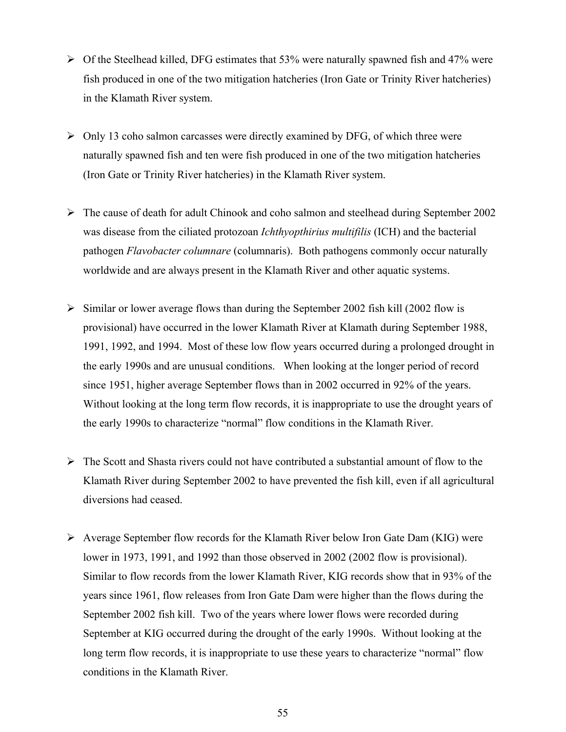- $\triangleright$  Of the Steelhead killed, DFG estimates that 53% were naturally spawned fish and 47% were fish produced in one of the two mitigation hatcheries (Iron Gate or Trinity River hatcheries) in the Klamath River system.
- $\triangleright$  Only 13 coho salmon carcasses were directly examined by DFG, of which three were naturally spawned fish and ten were fish produced in one of the two mitigation hatcheries (Iron Gate or Trinity River hatcheries) in the Klamath River system.
- ¾ The cause of death for adult Chinook and coho salmon and steelhead during September 2002 was disease from the ciliated protozoan *Ichthyopthirius multifilis* (ICH) and the bacterial pathogen *Flavobacter columnare* (columnaris). Both pathogens commonly occur naturally worldwide and are always present in the Klamath River and other aquatic systems.
- $\triangleright$  Similar or lower average flows than during the September 2002 fish kill (2002 flow is provisional) have occurred in the lower Klamath River at Klamath during September 1988, 1991, 1992, and 1994. Most of these low flow years occurred during a prolonged drought in the early 1990s and are unusual conditions. When looking at the longer period of record since 1951, higher average September flows than in 2002 occurred in 92% of the years. Without looking at the long term flow records, it is inappropriate to use the drought years of the early 1990s to characterize "normal" flow conditions in the Klamath River.
- $\triangleright$  The Scott and Shasta rivers could not have contributed a substantial amount of flow to the Klamath River during September 2002 to have prevented the fish kill, even if all agricultural diversions had ceased.
- $\triangleright$  Average September flow records for the Klamath River below Iron Gate Dam (KIG) were lower in 1973, 1991, and 1992 than those observed in 2002 (2002 flow is provisional). Similar to flow records from the lower Klamath River, KIG records show that in 93% of the years since 1961, flow releases from Iron Gate Dam were higher than the flows during the September 2002 fish kill. Two of the years where lower flows were recorded during September at KIG occurred during the drought of the early 1990s. Without looking at the long term flow records, it is inappropriate to use these years to characterize "normal" flow conditions in the Klamath River.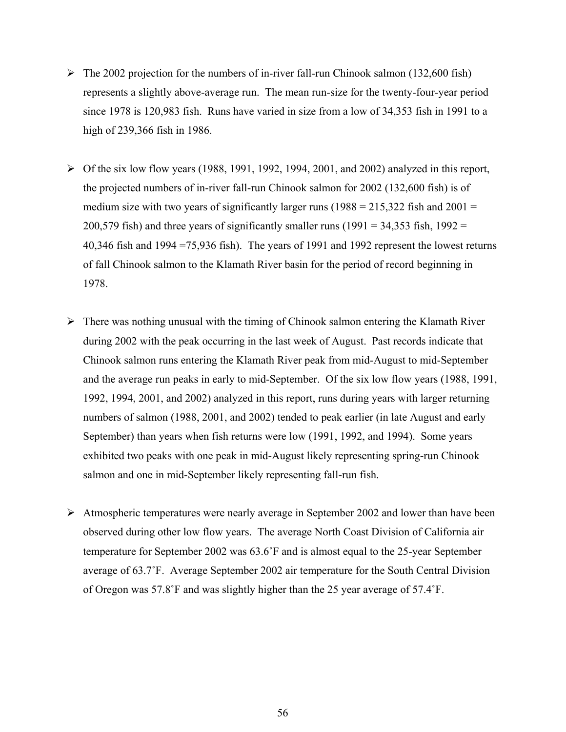- $\triangleright$  The 2002 projection for the numbers of in-river fall-run Chinook salmon (132,600 fish) represents a slightly above-average run. The mean run-size for the twenty-four-year period since 1978 is 120,983 fish. Runs have varied in size from a low of 34,353 fish in 1991 to a high of 239,366 fish in 1986.
- $\triangleright$  Of the six low flow years (1988, 1991, 1992, 1994, 2001, and 2002) analyzed in this report, the projected numbers of in-river fall-run Chinook salmon for 2002 (132,600 fish) is of medium size with two years of significantly larger runs  $(1988 = 215,322$  fish and  $2001 =$ 200,579 fish) and three years of significantly smaller runs (1991 = 34,353 fish, 1992 = 40,346 fish and 1994 =75,936 fish). The years of 1991 and 1992 represent the lowest returns of fall Chinook salmon to the Klamath River basin for the period of record beginning in 1978.
- $\triangleright$  There was nothing unusual with the timing of Chinook salmon entering the Klamath River during 2002 with the peak occurring in the last week of August. Past records indicate that Chinook salmon runs entering the Klamath River peak from mid-August to mid-September and the average run peaks in early to mid-September. Of the six low flow years (1988, 1991, 1992, 1994, 2001, and 2002) analyzed in this report, runs during years with larger returning numbers of salmon (1988, 2001, and 2002) tended to peak earlier (in late August and early September) than years when fish returns were low (1991, 1992, and 1994). Some years exhibited two peaks with one peak in mid-August likely representing spring-run Chinook salmon and one in mid-September likely representing fall-run fish.
- $\triangleright$  Atmospheric temperatures were nearly average in September 2002 and lower than have been observed during other low flow years. The average North Coast Division of California air temperature for September 2002 was 63.6˚F and is almost equal to the 25-year September average of 63.7˚F. Average September 2002 air temperature for the South Central Division of Oregon was 57.8˚F and was slightly higher than the 25 year average of 57.4˚F.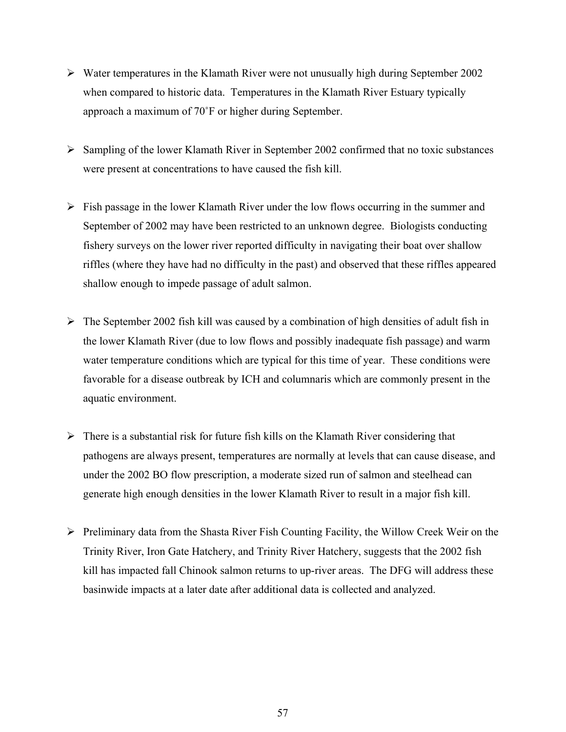- $\triangleright$  Water temperatures in the Klamath River were not unusually high during September 2002 when compared to historic data. Temperatures in the Klamath River Estuary typically approach a maximum of 70˚F or higher during September.
- $\triangleright$  Sampling of the lower Klamath River in September 2002 confirmed that no toxic substances were present at concentrations to have caused the fish kill.
- $\triangleright$  Fish passage in the lower Klamath River under the low flows occurring in the summer and September of 2002 may have been restricted to an unknown degree. Biologists conducting fishery surveys on the lower river reported difficulty in navigating their boat over shallow riffles (where they have had no difficulty in the past) and observed that these riffles appeared shallow enough to impede passage of adult salmon.
- $\triangleright$  The September 2002 fish kill was caused by a combination of high densities of adult fish in the lower Klamath River (due to low flows and possibly inadequate fish passage) and warm water temperature conditions which are typical for this time of year. These conditions were favorable for a disease outbreak by ICH and columnaris which are commonly present in the aquatic environment.
- $\triangleright$  There is a substantial risk for future fish kills on the Klamath River considering that pathogens are always present, temperatures are normally at levels that can cause disease, and under the 2002 BO flow prescription, a moderate sized run of salmon and steelhead can generate high enough densities in the lower Klamath River to result in a major fish kill.
- $\triangleright$  Preliminary data from the Shasta River Fish Counting Facility, the Willow Creek Weir on the Trinity River, Iron Gate Hatchery, and Trinity River Hatchery, suggests that the 2002 fish kill has impacted fall Chinook salmon returns to up-river areas. The DFG will address these basinwide impacts at a later date after additional data is collected and analyzed.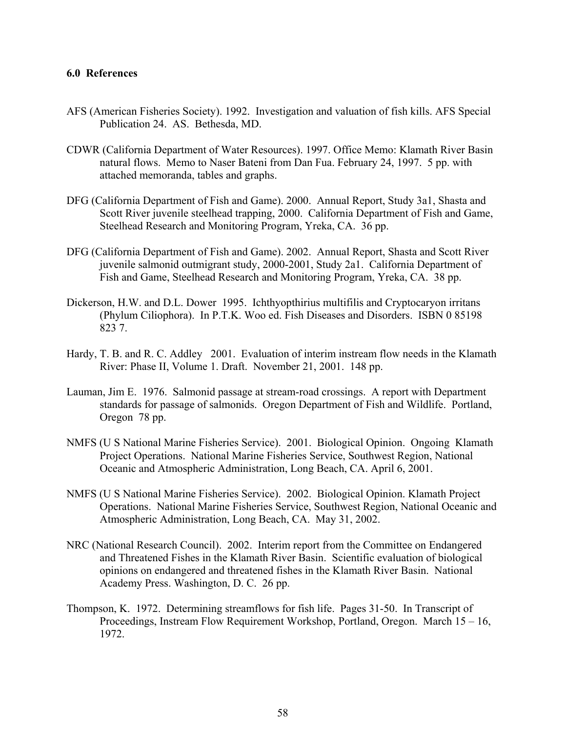## **6.0 References**

- AFS (American Fisheries Society). 1992. Investigation and valuation of fish kills. AFS Special Publication 24. AS. Bethesda, MD.
- CDWR (California Department of Water Resources). 1997. Office Memo: Klamath River Basin natural flows. Memo to Naser Bateni from Dan Fua. February 24, 1997. 5 pp. with attached memoranda, tables and graphs.
- DFG (California Department of Fish and Game). 2000. Annual Report, Study 3a1, Shasta and Scott River juvenile steelhead trapping, 2000. California Department of Fish and Game, Steelhead Research and Monitoring Program, Yreka, CA. 36 pp.
- DFG (California Department of Fish and Game). 2002. Annual Report, Shasta and Scott River juvenile salmonid outmigrant study, 2000-2001, Study 2a1. California Department of Fish and Game, Steelhead Research and Monitoring Program, Yreka, CA. 38 pp.
- Dickerson, H.W. and D.L. Dower 1995. Ichthyopthirius multifilis and Cryptocaryon irritans (Phylum Ciliophora). In P.T.K. Woo ed. Fish Diseases and Disorders. ISBN 0 85198 823 7.
- Hardy, T. B. and R. C. Addley 2001. Evaluation of interim instream flow needs in the Klamath River: Phase II, Volume 1. Draft. November 21, 2001. 148 pp.
- Lauman, Jim E. 1976. Salmonid passage at stream-road crossings. A report with Department standards for passage of salmonids. Oregon Department of Fish and Wildlife. Portland, Oregon 78 pp.
- NMFS (U S National Marine Fisheries Service). 2001. Biological Opinion. Ongoing Klamath Project Operations. National Marine Fisheries Service, Southwest Region, National Oceanic and Atmospheric Administration, Long Beach, CA. April 6, 2001.
- NMFS (U S National Marine Fisheries Service). 2002. Biological Opinion. Klamath Project Operations. National Marine Fisheries Service, Southwest Region, National Oceanic and Atmospheric Administration, Long Beach, CA. May 31, 2002.
- NRC (National Research Council). 2002. Interim report from the Committee on Endangered and Threatened Fishes in the Klamath River Basin. Scientific evaluation of biological opinions on endangered and threatened fishes in the Klamath River Basin. National Academy Press. Washington, D. C. 26 pp.
- Thompson, K. 1972. Determining streamflows for fish life. Pages 31-50. In Transcript of Proceedings, Instream Flow Requirement Workshop, Portland, Oregon. March 15 – 16, 1972.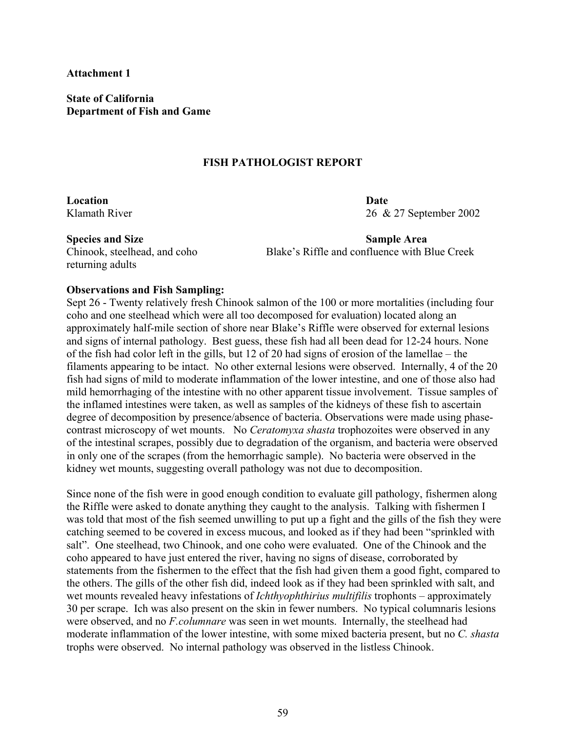**Attachment 1** 

**State of California Department of Fish and Game**

## **FISH PATHOLOGIST REPORT**

**Location Date** 

Klamath River 2002

returning adults

**Species and Size Sample Area 3 Area 2008 Sample Area 3 Area 3 Area 3 Area 3 Area 3 Area 3 Area 3 Area 3 Area 3 Area 3 Area 3 Area 3 Area 3 Area 3 Area 3 Area 3 Area 3 Area 3 Area 3 Area 3 Area 3 Area 3 Area 3 Area 3 Area** Chinook, steelhead, and coho Blake's Riffle and confluence with Blue Creek

## **Observations and Fish Sampling:**

Sept 26 - Twenty relatively fresh Chinook salmon of the 100 or more mortalities (including four coho and one steelhead which were all too decomposed for evaluation) located along an approximately half-mile section of shore near Blake's Riffle were observed for external lesions and signs of internal pathology. Best guess, these fish had all been dead for 12-24 hours. None of the fish had color left in the gills, but 12 of 20 had signs of erosion of the lamellae – the filaments appearing to be intact. No other external lesions were observed. Internally, 4 of the 20 fish had signs of mild to moderate inflammation of the lower intestine, and one of those also had mild hemorrhaging of the intestine with no other apparent tissue involvement. Tissue samples of the inflamed intestines were taken, as well as samples of the kidneys of these fish to ascertain degree of decomposition by presence/absence of bacteria. Observations were made using phasecontrast microscopy of wet mounts. No *Ceratomyxa shasta* trophozoites were observed in any of the intestinal scrapes, possibly due to degradation of the organism, and bacteria were observed in only one of the scrapes (from the hemorrhagic sample). No bacteria were observed in the kidney wet mounts, suggesting overall pathology was not due to decomposition.

Since none of the fish were in good enough condition to evaluate gill pathology, fishermen along the Riffle were asked to donate anything they caught to the analysis. Talking with fishermen I was told that most of the fish seemed unwilling to put up a fight and the gills of the fish they were catching seemed to be covered in excess mucous, and looked as if they had been "sprinkled with salt". One steelhead, two Chinook, and one coho were evaluated. One of the Chinook and the coho appeared to have just entered the river, having no signs of disease, corroborated by statements from the fishermen to the effect that the fish had given them a good fight, compared to the others. The gills of the other fish did, indeed look as if they had been sprinkled with salt, and wet mounts revealed heavy infestations of *Ichthyophthirius multifilis* trophonts – approximately 30 per scrape. Ich was also present on the skin in fewer numbers. No typical columnaris lesions were observed, and no *F.columnare* was seen in wet mounts. Internally, the steelhead had moderate inflammation of the lower intestine, with some mixed bacteria present, but no *C. shasta* trophs were observed. No internal pathology was observed in the listless Chinook.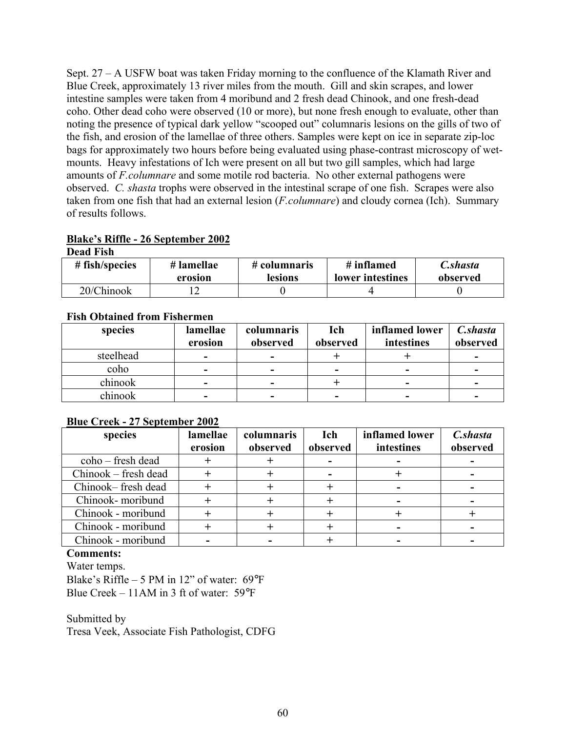Sept. 27 – A USFW boat was taken Friday morning to the confluence of the Klamath River and Blue Creek, approximately 13 river miles from the mouth. Gill and skin scrapes, and lower intestine samples were taken from 4 moribund and 2 fresh dead Chinook, and one fresh-dead coho. Other dead coho were observed (10 or more), but none fresh enough to evaluate, other than noting the presence of typical dark yellow "scooped out" columnaris lesions on the gills of two of the fish, and erosion of the lamellae of three others. Samples were kept on ice in separate zip-loc bags for approximately two hours before being evaluated using phase-contrast microscopy of wetmounts. Heavy infestations of Ich were present on all but two gill samples, which had large amounts of *F.columnare* and some motile rod bacteria. No other external pathogens were observed. *C. shasta* trophs were observed in the intestinal scrape of one fish. Scrapes were also taken from one fish that had an external lesion (*F.columnare*) and cloudy cornea (Ich). Summary of results follows.

# **Blake's Riffle - 26 September 2002**

| <b>Dead Fish</b> |            |              |                  |          |
|------------------|------------|--------------|------------------|----------|
| $#$ fish/species | # lamellae | # columnaris | # inflamed       | C.shasta |
|                  | erosion    | lesions      | lower intestines | observed |
| 20/Chinook       |            |              |                  |          |

## **Fish Obtained from Fishermen**

| species   | lamellae | columnaris | Ich                      | inflamed lower | C.shasta |
|-----------|----------|------------|--------------------------|----------------|----------|
|           | erosion  | observed   | observed                 | intestines     | observed |
| steelhead | ۰        | -          |                          |                |          |
| coho      | -        | -          | $\overline{\phantom{0}}$ | -              |          |
| chinook   | ۰        | -          |                          | -              |          |
| chinook   | -        |            | $\overline{\phantom{0}}$ |                |          |

## **Blue Creek - 27 September 2002**

| species                | lamellae<br>erosion | columnaris<br>observed | Ich<br>observed | inflamed lower<br>intestines | C.shasta<br>observed |
|------------------------|---------------------|------------------------|-----------------|------------------------------|----------------------|
| $\cosh 0$ – fresh dead |                     |                        |                 |                              |                      |
| Chinook – fresh dead   |                     |                        |                 |                              |                      |
| Chinook-fresh dead     |                     |                        |                 |                              |                      |
| Chinook- moribund      |                     |                        |                 |                              |                      |
| Chinook - moribund     |                     |                        |                 |                              |                      |
| Chinook - moribund     |                     |                        |                 |                              |                      |
| Chinook - moribund     |                     |                        |                 |                              |                      |

## **Comments:**

Water temps. Blake's Riffle – 5 PM in 12" of water:  $69^{\circ}F$ Blue Creek – 11AM in 3 ft of water: 59°F

Submitted by Tresa Veek, Associate Fish Pathologist, CDFG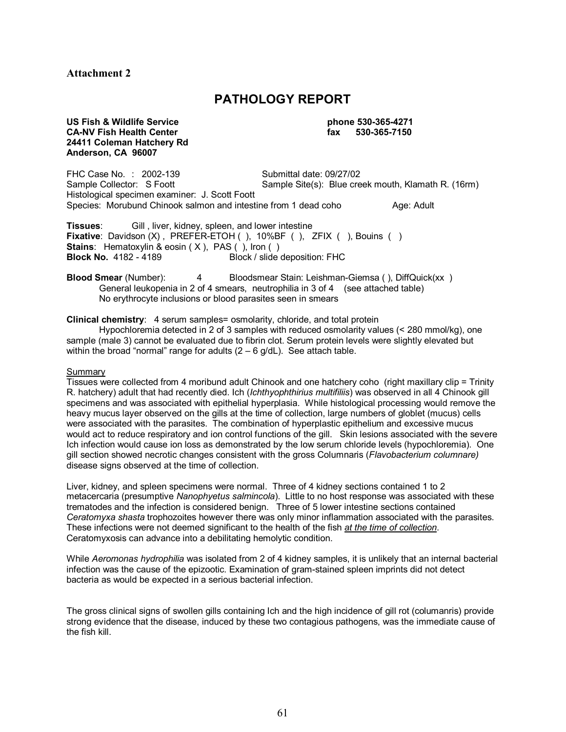## **Attachment 2**

# **PATHOLOGY REPORT**

#### **US Fish & Wildlife Service phone 530-365-4271 CA-NV Fish Health Center fax 530-365-7150 24411 Coleman Hatchery Rd Anderson, CA 96007**

FHC Case No. : 2002-139 Submittal date: 09/27/02<br>Sample Collector: S Foott Sample Site(s): Blue cre Sample Site(s): Blue creek mouth, Klamath R. (16rm) Histological specimen examiner: J. Scott Foott Species: Morubund Chinook salmon and intestine from 1 dead coho Age: Adult

**Tissues**: Gill , liver, kidney, spleen, and lower intestine **Fixative**: Davidson (X), PREFER-ETOH (), 10%BF (), ZFIX (), Bouins () **Stains**: Hematoxylin & eosin (X), PAS (), Iron () **Block No.** 4182 - 4189 Block / slide deposition: FHC

**Blood Smear** (Number): 4 Bloodsmear Stain: Leishman-Giemsa ( ), DiffQuick(xx ) General leukopenia in 2 of 4 smears, neutrophilia in 3 of 4 (see attached table) No erythrocyte inclusions or blood parasites seen in smears

#### **Clinical chemistry**: 4 serum samples= osmolarity, chloride, and total protein

 Hypochloremia detected in 2 of 3 samples with reduced osmolarity values (< 280 mmol/kg), one sample (male 3) cannot be evaluated due to fibrin clot. Serum protein levels were slightly elevated but within the broad "normal" range for adults  $(2 - 6$  g/dL). See attach table.

#### Summary

Tissues were collected from 4 moribund adult Chinook and one hatchery coho (right maxillary clip = Trinity R. hatchery) adult that had recently died. Ich (*Ichthyophthirius multifiliis*) was observed in all 4 Chinook gill specimens and was associated with epithelial hyperplasia. While histological processing would remove the heavy mucus layer observed on the gills at the time of collection, large numbers of globlet (mucus) cells were associated with the parasites. The combination of hyperplastic epithelium and excessive mucus would act to reduce respiratory and ion control functions of the gill. Skin lesions associated with the severe Ich infection would cause ion loss as demonstrated by the low serum chloride levels (hypochloremia). One gill section showed necrotic changes consistent with the gross Columnaris (*Flavobacterium columnare)*  disease signs observed at the time of collection.

Liver, kidney, and spleen specimens were normal. Three of 4 kidney sections contained 1 to 2 metacercaria (presumptive *Nanophyetus salmincola*). Little to no host response was associated with these trematodes and the infection is considered benign. Three of 5 lower intestine sections contained *Ceratomyxa shasta* trophozoites however there was only minor inflammation associated with the parasites. These infections were not deemed significant to the health of the fish *at the time of collection*. Ceratomyxosis can advance into a debilitating hemolytic condition.

While *Aeromonas hydrophilia* was isolated from 2 of 4 kidney samples, it is unlikely that an internal bacterial infection was the cause of the epizootic. Examination of gram-stained spleen imprints did not detect bacteria as would be expected in a serious bacterial infection.

The gross clinical signs of swollen gills containing Ich and the high incidence of gill rot (columanris) provide strong evidence that the disease, induced by these two contagious pathogens, was the immediate cause of the fish kill.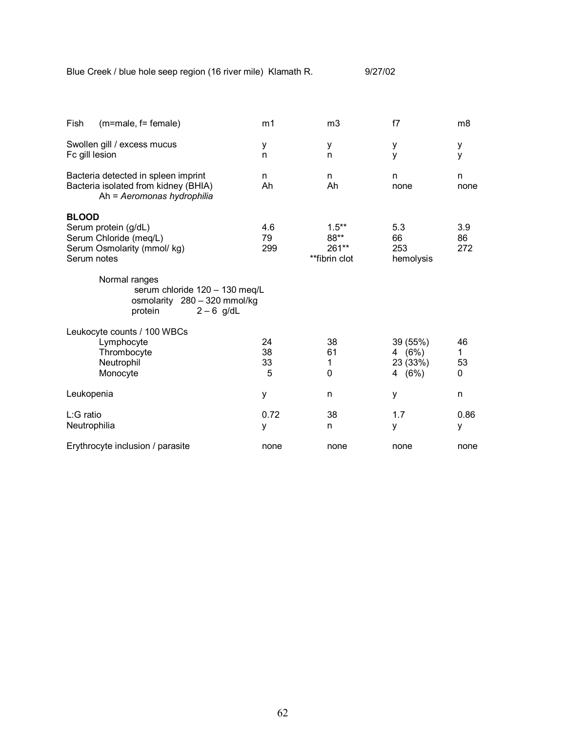Blue Creek / blue hole seep region (16 river mile) Klamath R. 9/27/02

| Fish<br>(m=male, f= female)                                                                                  | m1                  | m <sub>3</sub>                               | f7                                         | m8                  |
|--------------------------------------------------------------------------------------------------------------|---------------------|----------------------------------------------|--------------------------------------------|---------------------|
| Swollen gill / excess mucus<br>Fc gill lesion                                                                | У<br>n              | у<br>n                                       | у<br>y                                     | у<br>У              |
| Bacteria detected in spleen imprint<br>Bacteria isolated from kidney (BHIA)<br>Ah = Aeromonas hydrophilia    | n<br>Ah             | n<br>Ah                                      | n<br>none                                  | n<br>none           |
| <b>BLOOD</b><br>Serum protein (g/dL)<br>Serum Chloride (meq/L)<br>Serum Osmolarity (mmol/ kg)<br>Serum notes | 4.6<br>79<br>299    | $1.5***$<br>88**<br>$261**$<br>**fibrin clot | 5.3<br>66<br>253<br>hemolysis              | 3.9<br>86<br>272    |
| Normal ranges<br>serum chloride 120 - 130 meg/L<br>osmolarity 280 - 320 mmol/kg<br>protein<br>$2-6$ g/dL     |                     |                                              |                                            |                     |
| Leukocyte counts / 100 WBCs<br>Lymphocyte<br>Thrombocyte<br>Neutrophil<br>Monocyte                           | 24<br>38<br>33<br>5 | 38<br>61<br>1<br>0                           | 39 (55%)<br>4 $(6%)$<br>23 (33%)<br>4 (6%) | 46<br>1.<br>53<br>0 |
| Leukopenia                                                                                                   | у                   | n                                            | у                                          | n                   |
| L:G ratio<br>Neutrophilia                                                                                    | 0.72<br>y           | 38<br>n                                      | 1.7<br>у                                   | 0.86<br>у           |
| Erythrocyte inclusion / parasite                                                                             | none                | none                                         | none                                       | none                |